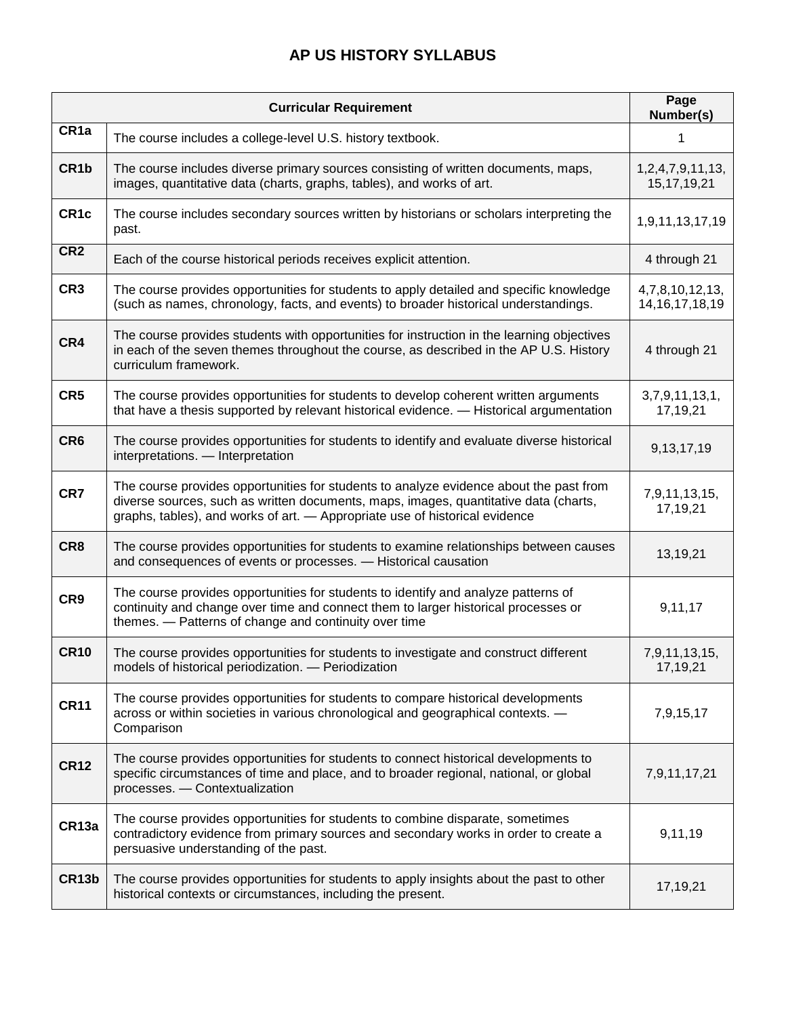# **AP US HISTORY SYLLABUS**

|                   | <b>Curricular Requirement</b>                                                                                                                                                                                                                                 | Page<br>Number(s)                     |
|-------------------|---------------------------------------------------------------------------------------------------------------------------------------------------------------------------------------------------------------------------------------------------------------|---------------------------------------|
| CR <sub>1a</sub>  | The course includes a college-level U.S. history textbook.                                                                                                                                                                                                    |                                       |
| CR <sub>1</sub> b | The course includes diverse primary sources consisting of written documents, maps,<br>images, quantitative data (charts, graphs, tables), and works of art.                                                                                                   | 1,2,4,7,9,11,13,<br>15, 17, 19, 21    |
| CR <sub>1c</sub>  | The course includes secondary sources written by historians or scholars interpreting the<br>past.                                                                                                                                                             | 1,9,11,13,17,19                       |
| CR <sub>2</sub>   | Each of the course historical periods receives explicit attention.                                                                                                                                                                                            | 4 through 21                          |
| CR <sub>3</sub>   | The course provides opportunities for students to apply detailed and specific knowledge<br>(such as names, chronology, facts, and events) to broader historical understandings.                                                                               | 4,7,8,10,12,13,<br>14, 16, 17, 18, 19 |
| CR4               | The course provides students with opportunities for instruction in the learning objectives<br>in each of the seven themes throughout the course, as described in the AP U.S. History<br>curriculum framework.                                                 | 4 through 21                          |
| CR <sub>5</sub>   | The course provides opportunities for students to develop coherent written arguments<br>that have a thesis supported by relevant historical evidence. - Historical argumentation                                                                              | 3,7,9,11,13,1,<br>17,19,21            |
| CR <sub>6</sub>   | The course provides opportunities for students to identify and evaluate diverse historical<br>interpretations. - Interpretation                                                                                                                               | 9,13,17,19                            |
| CR7               | The course provides opportunities for students to analyze evidence about the past from<br>diverse sources, such as written documents, maps, images, quantitative data (charts,<br>graphs, tables), and works of art. - Appropriate use of historical evidence | 7,9,11,13,15,<br>17,19,21             |
| CR8               | The course provides opportunities for students to examine relationships between causes<br>and consequences of events or processes. - Historical causation                                                                                                     | 13,19,21                              |
| CR9               | The course provides opportunities for students to identify and analyze patterns of<br>continuity and change over time and connect them to larger historical processes or<br>themes. - Patterns of change and continuity over time                             | 9,11,17                               |
| <b>CR10</b>       | The course provides opportunities for students to investigate and construct different<br>models of historical periodization. - Periodization                                                                                                                  | 7,9,11,13,15,<br>17,19,21             |
| <b>CR11</b>       | The course provides opportunities for students to compare historical developments<br>across or within societies in various chronological and geographical contexts. -<br>Comparison                                                                           | 7,9,15,17                             |
| <b>CR12</b>       | The course provides opportunities for students to connect historical developments to<br>specific circumstances of time and place, and to broader regional, national, or global<br>processes. - Contextualization                                              | 7,9,11,17,21                          |
| CR13a             | The course provides opportunities for students to combine disparate, sometimes<br>contradictory evidence from primary sources and secondary works in order to create a<br>persuasive understanding of the past.                                               | 9,11,19                               |
| CR13b             | The course provides opportunities for students to apply insights about the past to other<br>historical contexts or circumstances, including the present.                                                                                                      | 17,19,21                              |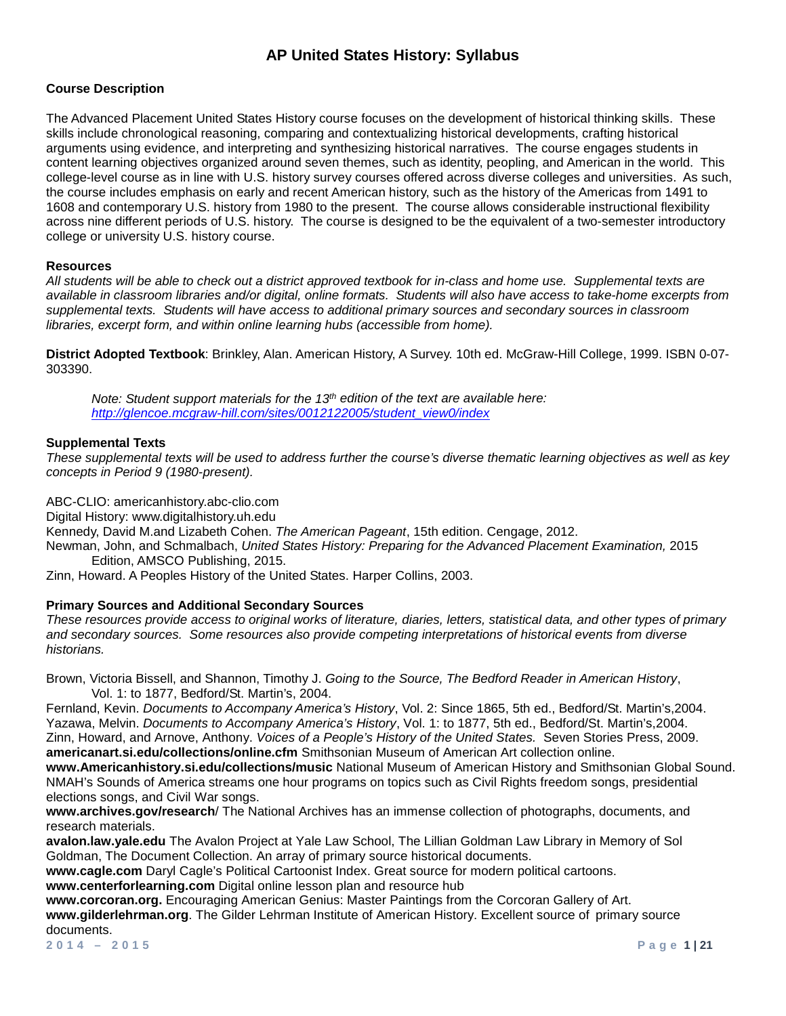### **Course Description**

The Advanced Placement United States History course focuses on the development of historical thinking skills. These skills include chronological reasoning, comparing and contextualizing historical developments, crafting historical arguments using evidence, and interpreting and synthesizing historical narratives. The course engages students in content learning objectives organized around seven themes, such as identity, peopling, and American in the world. This college-level course as in line with U.S. history survey courses offered across diverse colleges and universities. As such, the course includes emphasis on early and recent American history, such as the history of the Americas from 1491 to 1608 and contemporary U.S. history from 1980 to the present. The course allows considerable instructional flexibility across nine different periods of U.S. history. The course is designed to be the equivalent of a two-semester introductory college or university U.S. history course.

#### **Resources**

*All students will be able to check out a district approved textbook for in-class and home use. Supplemental texts are available in classroom libraries and/or digital, online formats. Students will also have access to take-home excerpts from supplemental texts. Students will have access to additional primary sources and secondary sources in classroom libraries, excerpt form, and within online learning hubs (accessible from home).* 

**District Adopted Textbook**: Brinkley, Alan. American History, A Survey. 10th ed. McGraw-Hill College, 1999. ISBN 0-07- 303390.

*Note: Student support materials for the 13th edition of the text are available here: [http://glencoe.mcgraw-hill.com/sites/0012122005/student\\_view0/index](http://glencoe.mcgraw-hill.com/sites/0012122005/student_view0/index.html)*

#### **Supplemental Texts**

*These supplemental texts will be used to address further the course's diverse thematic learning objectives as well as key concepts in Period 9 (1980-present).* 

ABC-CLIO: americanhistory.abc-clio.com

Digital History: www.digitalhistory.uh.edu

Kennedy, David M.and Lizabeth Cohen. *The American Pageant*, 15th edition. Cengage, 2012.

Newman, John, and Schmalbach, *United States History: Preparing for the Advanced Placement Examination,* 2015 Edition, AMSCO Publishing, 2015.

Zinn, Howard. A Peoples History of the United States. Harper Collins, 2003.

#### **Primary Sources and Additional Secondary Sources**

*These resources provide access to original works of literature, diaries, letters, statistical data, and other types of primary and secondary sources. Some resources also provide competing interpretations of historical events from diverse historians.* 

Brown, Victoria Bissell, and Shannon, Timothy J. *Going to the Source, The Bedford Reader in American History*, Vol. 1: to 1877, Bedford/St. Martin's, 2004.

Fernland, Kevin. *Documents to Accompany America's History*, Vol. 2: Since 1865, 5th ed., Bedford/St. Martin's,2004. Yazawa, Melvin. *Documents to Accompany America's History*, Vol. 1: to 1877, 5th ed., Bedford/St. Martin's,2004. Zinn, Howard, and Arnove, Anthony. *Voices of a People's History of the United States.* Seven Stories Press, 2009. **americanart.si.edu/collections/online.cfm** Smithsonian Museum of American Art collection online.

**www.Americanhistory.si.edu/collections/music** National Museum of American History and Smithsonian Global Sound. NMAH's Sounds of America streams one hour programs on topics such as Civil Rights freedom songs, presidential elections songs, and Civil War songs.

**www.archives.gov/research**/ The National Archives has an immense collection of photographs, documents, and research materials.

**avalon.law.yale.edu** The Avalon Project at Yale Law School, The Lillian Goldman Law Library in Memory of Sol Goldman, The Document Collection. An array of primary source historical documents.

**www.cagle.com** Daryl Cagle's Political Cartoonist Index. Great source for modern political cartoons. **www.centerforlearning.com** Digital online lesson plan and resource hub

**www.corcoran.org.** Encouraging American Genius: Master Paintings from the Corcoran Gallery of Art. **www.gilderlehrman.org**. The Gilder Lehrman Institute of American History. Excellent source of primary source documents.

**2014 – 2015 Page 1 | 21**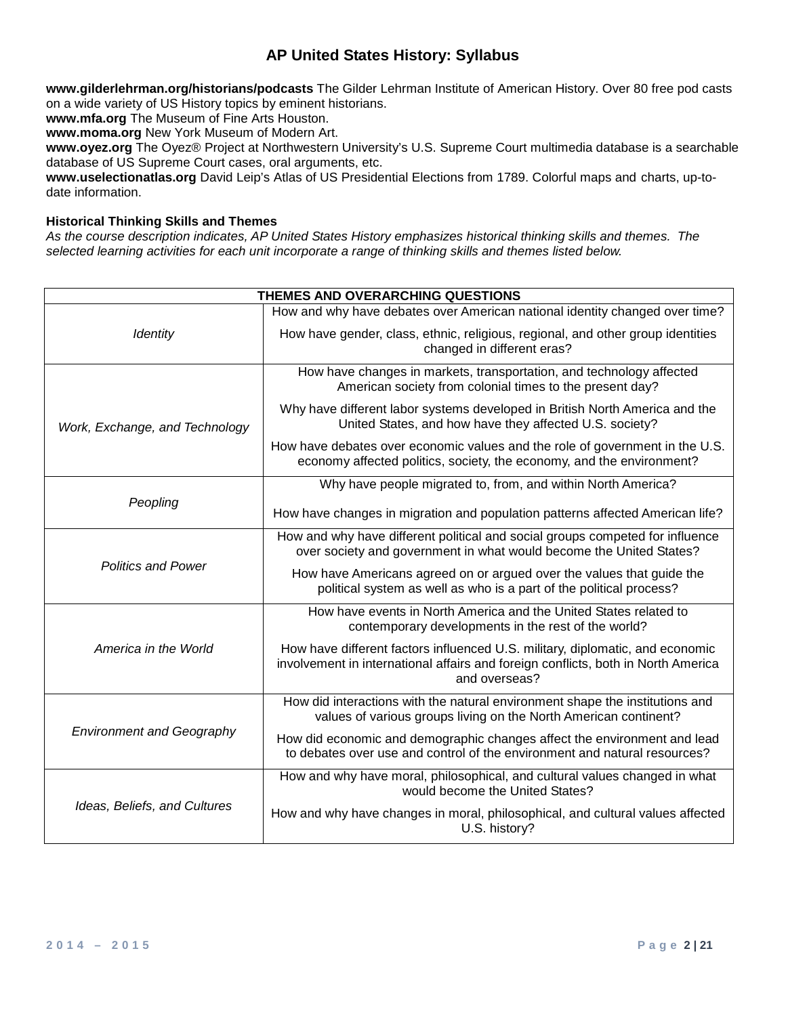**www.gilderlehrman.org/historians/podcasts** The Gilder Lehrman Institute of American History. Over 80 free pod casts on a wide variety of US History topics by eminent historians.

**www.mfa.org** The Museum of Fine Arts Houston.

**www.moma.org** New York Museum of Modern Art.

**www.oyez.org** The Oyez® Project at Northwestern University's U.S. Supreme Court multimedia database is a searchable database of US Supreme Court cases, oral arguments, etc.

**www.uselectionatlas.org** David Leip's Atlas of US Presidential Elections from 1789. Colorful maps and charts, up-todate information.

## **Historical Thinking Skills and Themes**

*As the course description indicates, AP United States History emphasizes historical thinking skills and themes. The selected learning activities for each unit incorporate a range of thinking skills and themes listed below.*

| THEMES AND OVERARCHING QUESTIONS |                                                                                                                                                                                     |  |
|----------------------------------|-------------------------------------------------------------------------------------------------------------------------------------------------------------------------------------|--|
|                                  | How and why have debates over American national identity changed over time?                                                                                                         |  |
| <b>Identity</b>                  | How have gender, class, ethnic, religious, regional, and other group identities<br>changed in different eras?                                                                       |  |
|                                  | How have changes in markets, transportation, and technology affected<br>American society from colonial times to the present day?                                                    |  |
| Work, Exchange, and Technology   | Why have different labor systems developed in British North America and the<br>United States, and how have they affected U.S. society?                                              |  |
|                                  | How have debates over economic values and the role of government in the U.S.<br>economy affected politics, society, the economy, and the environment?                               |  |
|                                  | Why have people migrated to, from, and within North America?                                                                                                                        |  |
| Peopling                         | How have changes in migration and population patterns affected American life?                                                                                                       |  |
|                                  | How and why have different political and social groups competed for influence<br>over society and government in what would become the United States?                                |  |
| <b>Politics and Power</b>        | How have Americans agreed on or argued over the values that guide the<br>political system as well as who is a part of the political process?                                        |  |
|                                  | How have events in North America and the United States related to<br>contemporary developments in the rest of the world?                                                            |  |
| America in the World             | How have different factors influenced U.S. military, diplomatic, and economic<br>involvement in international affairs and foreign conflicts, both in North America<br>and overseas? |  |
|                                  | How did interactions with the natural environment shape the institutions and<br>values of various groups living on the North American continent?                                    |  |
| <b>Environment and Geography</b> | How did economic and demographic changes affect the environment and lead<br>to debates over use and control of the environment and natural resources?                               |  |
|                                  | How and why have moral, philosophical, and cultural values changed in what<br>would become the United States?                                                                       |  |
| Ideas, Beliefs, and Cultures     | How and why have changes in moral, philosophical, and cultural values affected<br>U.S. history?                                                                                     |  |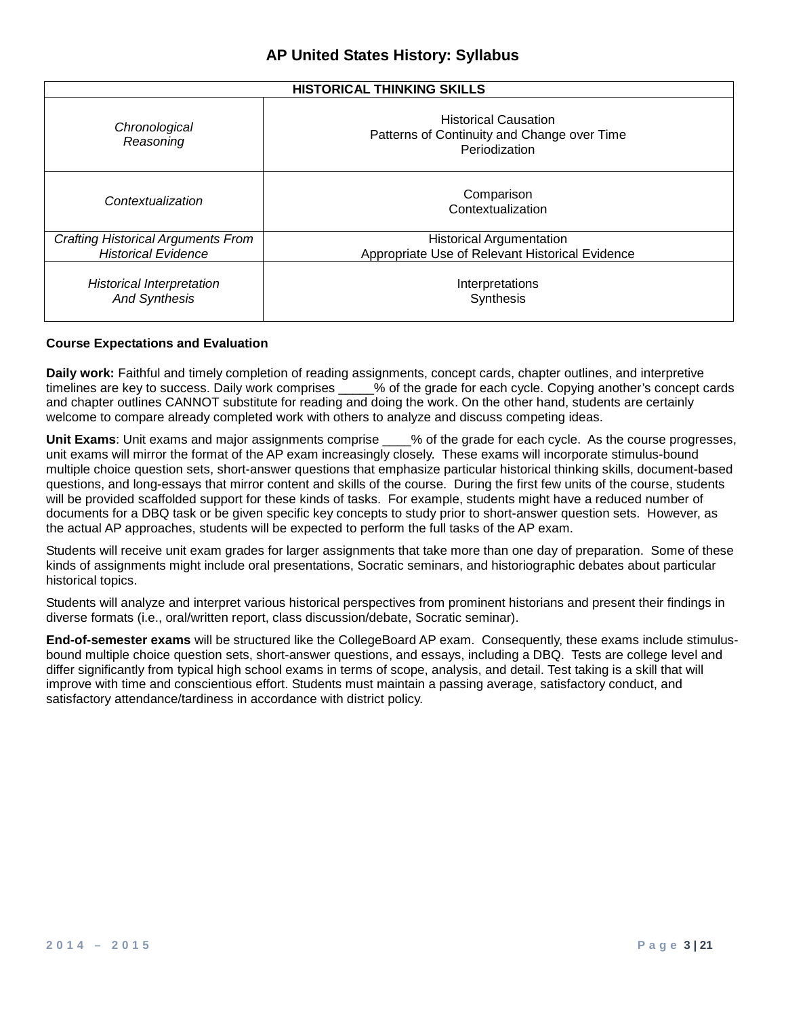| <b>HISTORICAL THINKING SKILLS</b>                                       |                                                                                             |  |
|-------------------------------------------------------------------------|---------------------------------------------------------------------------------------------|--|
| Chronological<br>Reasoning                                              | <b>Historical Causation</b><br>Patterns of Continuity and Change over Time<br>Periodization |  |
| Contextualization                                                       | Comparison<br>Contextualization                                                             |  |
| <b>Crafting Historical Arguments From</b><br><b>Historical Evidence</b> | <b>Historical Argumentation</b><br>Appropriate Use of Relevant Historical Evidence          |  |
| <b>Historical Interpretation</b><br><b>And Synthesis</b>                | Interpretations<br>Synthesis                                                                |  |

#### **Course Expectations and Evaluation**

**Daily work:** Faithful and timely completion of reading assignments, concept cards, chapter outlines, and interpretive timelines are key to success. Daily work comprises \_\_\_\_% of the grade for each cycle. Copying another's % of the grade for each cycle. Copying another's concept cards and chapter outlines CANNOT substitute for reading and doing the work. On the other hand, students are certainly welcome to compare already completed work with others to analyze and discuss competing ideas.

**Unit Exams**: Unit exams and major assignments comprise \_\_\_\_% of the grade for each cycle. As the course progresses, unit exams will mirror the format of the AP exam increasingly closely. These exams will incorporate stimulus-bound multiple choice question sets, short-answer questions that emphasize particular historical thinking skills, document-based questions, and long-essays that mirror content and skills of the course. During the first few units of the course, students will be provided scaffolded support for these kinds of tasks. For example, students might have a reduced number of documents for a DBQ task or be given specific key concepts to study prior to short-answer question sets. However, as the actual AP approaches, students will be expected to perform the full tasks of the AP exam.

Students will receive unit exam grades for larger assignments that take more than one day of preparation. Some of these kinds of assignments might include oral presentations, Socratic seminars, and historiographic debates about particular historical topics.

Students will analyze and interpret various historical perspectives from prominent historians and present their findings in diverse formats (i.e., oral/written report, class discussion/debate, Socratic seminar).

**End-of-semester exams** will be structured like the CollegeBoard AP exam. Consequently, these exams include stimulusbound multiple choice question sets, short-answer questions, and essays, including a DBQ. Tests are college level and differ significantly from typical high school exams in terms of scope, analysis, and detail. Test taking is a skill that will improve with time and conscientious effort. Students must maintain a passing average, satisfactory conduct, and satisfactory attendance/tardiness in accordance with district policy.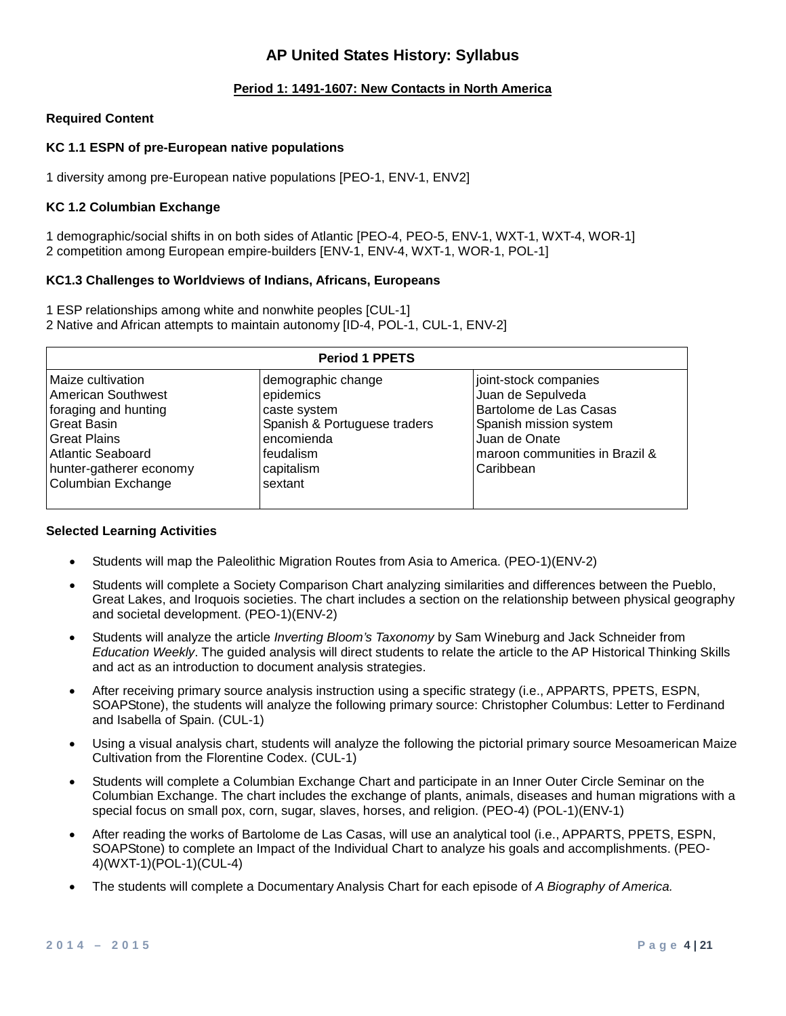## **Period 1: 1491-1607: New Contacts in North America**

#### **Required Content**

#### **KC 1.1 ESPN of pre-European native populations**

1 diversity among pre-European native populations [PEO-1, ENV-1, ENV2]

#### **KC 1.2 Columbian Exchange**

1 demographic/social shifts in on both sides of Atlantic [PEO-4, PEO-5, ENV-1, WXT-1, WXT-4, WOR-1] 2 competition among European empire-builders [ENV-1, ENV-4, WXT-1, WOR-1, POL-1]

#### **KC1.3 Challenges to Worldviews of Indians, Africans, Europeans**

1 ESP relationships among white and nonwhite peoples [CUL-1] 2 Native and African attempts to maintain autonomy [ID-4, POL-1, CUL-1, ENV-2]

| <b>Period 1 PPETS</b>                                                                                                                                                              |                                                                                                                                     |                                                                                                                                                                |
|------------------------------------------------------------------------------------------------------------------------------------------------------------------------------------|-------------------------------------------------------------------------------------------------------------------------------------|----------------------------------------------------------------------------------------------------------------------------------------------------------------|
| Maize cultivation<br>American Southwest<br>foraging and hunting<br><b>Great Basin</b><br><b>Great Plains</b><br>Atlantic Seaboard<br>hunter-gatherer economy<br>Columbian Exchange | demographic change<br>epidemics<br>caste system<br>Spanish & Portuguese traders<br>encomienda<br>feudalism<br>capitalism<br>sextant | joint-stock companies<br>Juan de Sepulveda<br>Bartolome de Las Casas<br>Spanish mission system<br>Juan de Onate<br>maroon communities in Brazil &<br>Caribbean |

#### **Selected Learning Activities**

- Students will map the Paleolithic Migration Routes from Asia to America. (PEO-1)(ENV-2)
- Students will complete a Society Comparison Chart analyzing similarities and differences between the Pueblo, Great Lakes, and Iroquois societies. The chart includes a section on the relationship between physical geography and societal development. (PEO-1)(ENV-2)
- Students will analyze the article *Inverting Bloom's Taxonomy* by Sam Wineburg and Jack Schneider from *Education Weekly*. The guided analysis will direct students to relate the article to the AP Historical Thinking Skills and act as an introduction to document analysis strategies.
- After receiving primary source analysis instruction using a specific strategy (i.e., APPARTS, PPETS, ESPN, SOAPStone), the students will analyze the following primary source: Christopher Columbus: Letter to Ferdinand and Isabella of Spain. (CUL-1)
- Using a visual analysis chart, students will analyze the following the pictorial primary source Mesoamerican Maize Cultivation from the Florentine Codex. (CUL-1)
- Students will complete a Columbian Exchange Chart and participate in an Inner Outer Circle Seminar on the Columbian Exchange. The chart includes the exchange of plants, animals, diseases and human migrations with a special focus on small pox, corn, sugar, slaves, horses, and religion. (PEO-4) (POL-1)(ENV-1)
- After reading the works of Bartolome de Las Casas, will use an analytical tool (i.e., APPARTS, PPETS, ESPN, SOAPStone) to complete an Impact of the Individual Chart to analyze his goals and accomplishments. (PEO-4)(WXT-1)(POL-1)(CUL-4)
- The students will complete a Documentary Analysis Chart for each episode of *A Biography of America.*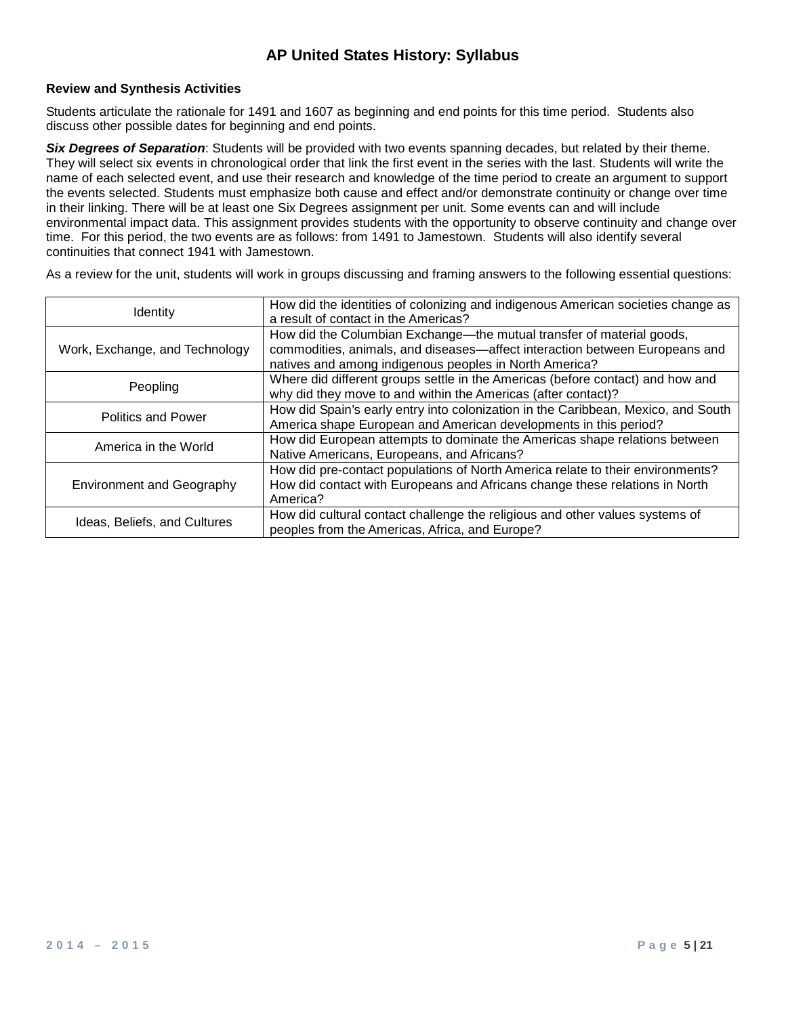### **Review and Synthesis Activities**

Students articulate the rationale for 1491 and 1607 as beginning and end points for this time period. Students also discuss other possible dates for beginning and end points.

*Six Degrees of Separation*: Students will be provided with two events spanning decades, but related by their theme. They will select six events in chronological order that link the first event in the series with the last. Students will write the name of each selected event, and use their research and knowledge of the time period to create an argument to support the events selected. Students must emphasize both cause and effect and/or demonstrate continuity or change over time in their linking. There will be at least one Six Degrees assignment per unit. Some events can and will include environmental impact data. This assignment provides students with the opportunity to observe continuity and change over time. For this period, the two events are as follows: from 1491 to Jamestown. Students will also identify several continuities that connect 1941 with Jamestown.

| <b>Identity</b>                  | How did the identities of colonizing and indigenous American societies change as<br>a result of contact in the Americas?                                                                                       |
|----------------------------------|----------------------------------------------------------------------------------------------------------------------------------------------------------------------------------------------------------------|
| Work, Exchange, and Technology   | How did the Columbian Exchange-the mutual transfer of material goods,<br>commodities, animals, and diseases-affect interaction between Europeans and<br>natives and among indigenous peoples in North America? |
| Peopling                         | Where did different groups settle in the Americas (before contact) and how and<br>why did they move to and within the Americas (after contact)?                                                                |
| <b>Politics and Power</b>        | How did Spain's early entry into colonization in the Caribbean, Mexico, and South<br>America shape European and American developments in this period?                                                          |
| America in the World             | How did European attempts to dominate the Americas shape relations between<br>Native Americans, Europeans, and Africans?                                                                                       |
| <b>Environment and Geography</b> | How did pre-contact populations of North America relate to their environments?<br>How did contact with Europeans and Africans change these relations in North<br>America?                                      |
| Ideas, Beliefs, and Cultures     | How did cultural contact challenge the religious and other values systems of<br>peoples from the Americas, Africa, and Europe?                                                                                 |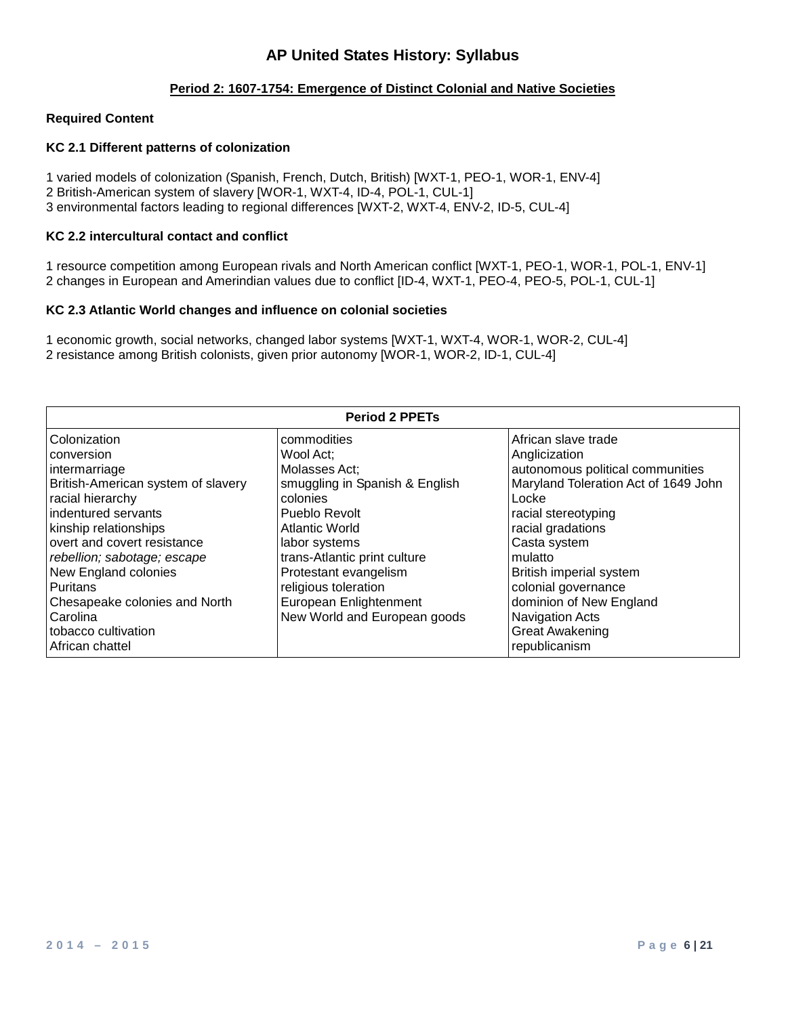### **Period 2: 1607-1754: Emergence of Distinct Colonial and Native Societies**

#### **Required Content**

### **KC 2.1 Different patterns of colonization**

1 varied models of colonization (Spanish, French, Dutch, British) [WXT-1, PEO-1, WOR-1, ENV-4] 2 British-American system of slavery [WOR-1, WXT-4, ID-4, POL-1, CUL-1] 3 environmental factors leading to regional differences [WXT-2, WXT-4, ENV-2, ID-5, CUL-4]

#### **KC 2.2 intercultural contact and conflict**

1 resource competition among European rivals and North American conflict [WXT-1, PEO-1, WOR-1, POL-1, ENV-1] 2 changes in European and Amerindian values due to conflict [ID-4, WXT-1, PEO-4, PEO-5, POL-1, CUL-1]

#### **KC 2.3 Atlantic World changes and influence on colonial societies**

1 economic growth, social networks, changed labor systems [WXT-1, WXT-4, WOR-1, WOR-2, CUL-4] 2 resistance among British colonists, given prior autonomy [WOR-1, WOR-2, ID-1, CUL-4]

| <b>Period 2 PPETs</b>              |                                |                                      |
|------------------------------------|--------------------------------|--------------------------------------|
| Colonization                       | commodities                    | African slave trade                  |
| conversion                         | Wool Act;                      | Anglicization                        |
| intermarriage                      | Molasses Act:                  | autonomous political communities     |
| British-American system of slavery | smuggling in Spanish & English | Maryland Toleration Act of 1649 John |
| racial hierarchy                   | colonies                       | Locke                                |
| indentured servants                | Pueblo Revolt                  | racial stereotyping                  |
| kinship relationships              | <b>Atlantic World</b>          | racial gradations                    |
| overt and covert resistance        | labor systems                  | Casta system                         |
| rebellion; sabotage; escape        | trans-Atlantic print culture   | mulatto                              |
| New England colonies               | Protestant evangelism          | British imperial system              |
| <b>Puritans</b>                    | religious toleration           | colonial governance                  |
| Chesapeake colonies and North      | European Enlightenment         | dominion of New England              |
| Carolina                           | New World and European goods   | <b>Navigation Acts</b>               |
| tobacco cultivation                |                                | <b>Great Awakening</b>               |
| African chattel                    |                                | republicanism                        |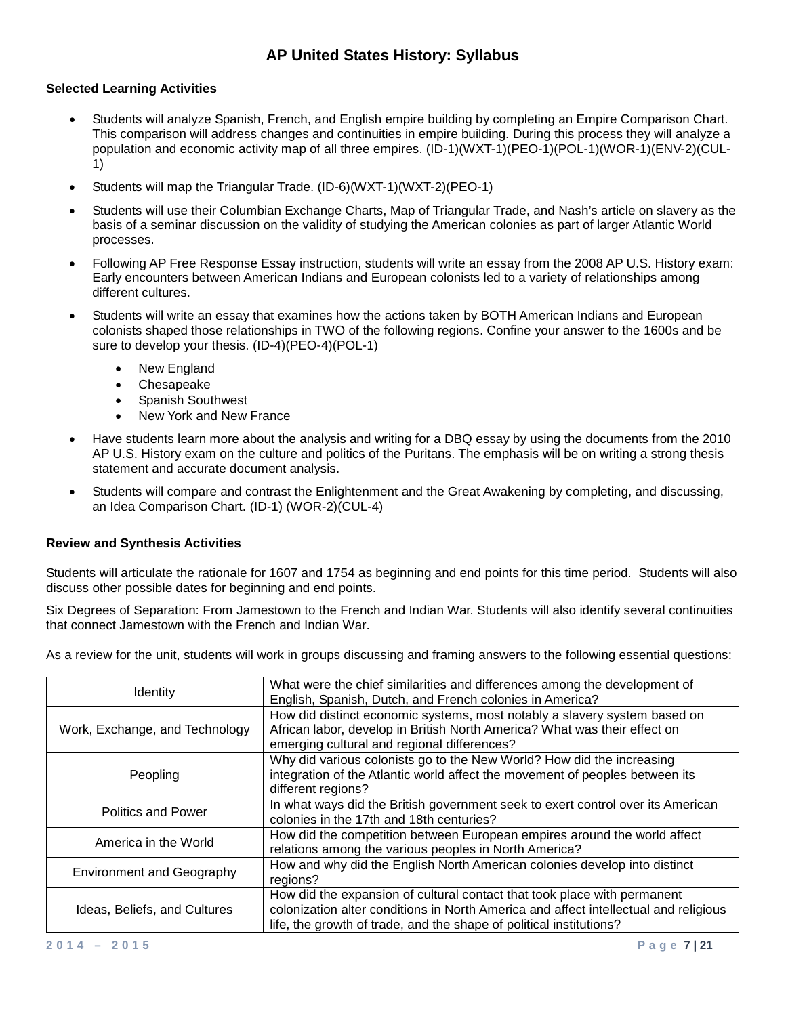### **Selected Learning Activities**

- Students will analyze Spanish, French, and English empire building by completing an Empire Comparison Chart. This comparison will address changes and continuities in empire building. During this process they will analyze a population and economic activity map of all three empires. (ID-1)(WXT-1)(PEO-1)(POL-1)(WOR-1)(ENV-2)(CUL-1)
- Students will map the Triangular Trade. (ID-6)(WXT-1)(WXT-2)(PEO-1)
- Students will use their Columbian Exchange Charts, Map of Triangular Trade, and Nash's article on slavery as the basis of a seminar discussion on the validity of studying the American colonies as part of larger Atlantic World processes.
- Following AP Free Response Essay instruction, students will write an essay from the 2008 AP U.S. History exam: Early encounters between American Indians and European colonists led to a variety of relationships among different cultures.
- Students will write an essay that examines how the actions taken by BOTH American Indians and European colonists shaped those relationships in TWO of the following regions. Confine your answer to the 1600s and be sure to develop your thesis. (ID-4)(PEO-4)(POL-1)
	- **New England**
	- Chesapeake
	- Spanish Southwest
	- New York and New France
- Have students learn more about the analysis and writing for a DBQ essay by using the documents from the 2010 AP U.S. History exam on the culture and politics of the Puritans. The emphasis will be on writing a strong thesis statement and accurate document analysis.
- Students will compare and contrast the Enlightenment and the Great Awakening by completing, and discussing, an Idea Comparison Chart. (ID-1) (WOR-2)(CUL-4)

## **Review and Synthesis Activities**

Students will articulate the rationale for 1607 and 1754 as beginning and end points for this time period. Students will also discuss other possible dates for beginning and end points.

Six Degrees of Separation: From Jamestown to the French and Indian War. Students will also identify several continuities that connect Jamestown with the French and Indian War.

| <b>Identity</b>                  | What were the chief similarities and differences among the development of<br>English, Spanish, Dutch, and French colonies in America?                                                                                                   |
|----------------------------------|-----------------------------------------------------------------------------------------------------------------------------------------------------------------------------------------------------------------------------------------|
| Work, Exchange, and Technology   | How did distinct economic systems, most notably a slavery system based on<br>African labor, develop in British North America? What was their effect on<br>emerging cultural and regional differences?                                   |
| Peopling                         | Why did various colonists go to the New World? How did the increasing<br>integration of the Atlantic world affect the movement of peoples between its<br>different regions?                                                             |
| <b>Politics and Power</b>        | In what ways did the British government seek to exert control over its American<br>colonies in the 17th and 18th centuries?                                                                                                             |
| America in the World             | How did the competition between European empires around the world affect<br>relations among the various peoples in North America?                                                                                                       |
| <b>Environment and Geography</b> | How and why did the English North American colonies develop into distinct<br>regions?                                                                                                                                                   |
| Ideas, Beliefs, and Cultures     | How did the expansion of cultural contact that took place with permanent<br>colonization alter conditions in North America and affect intellectual and religious<br>life, the growth of trade, and the shape of political institutions? |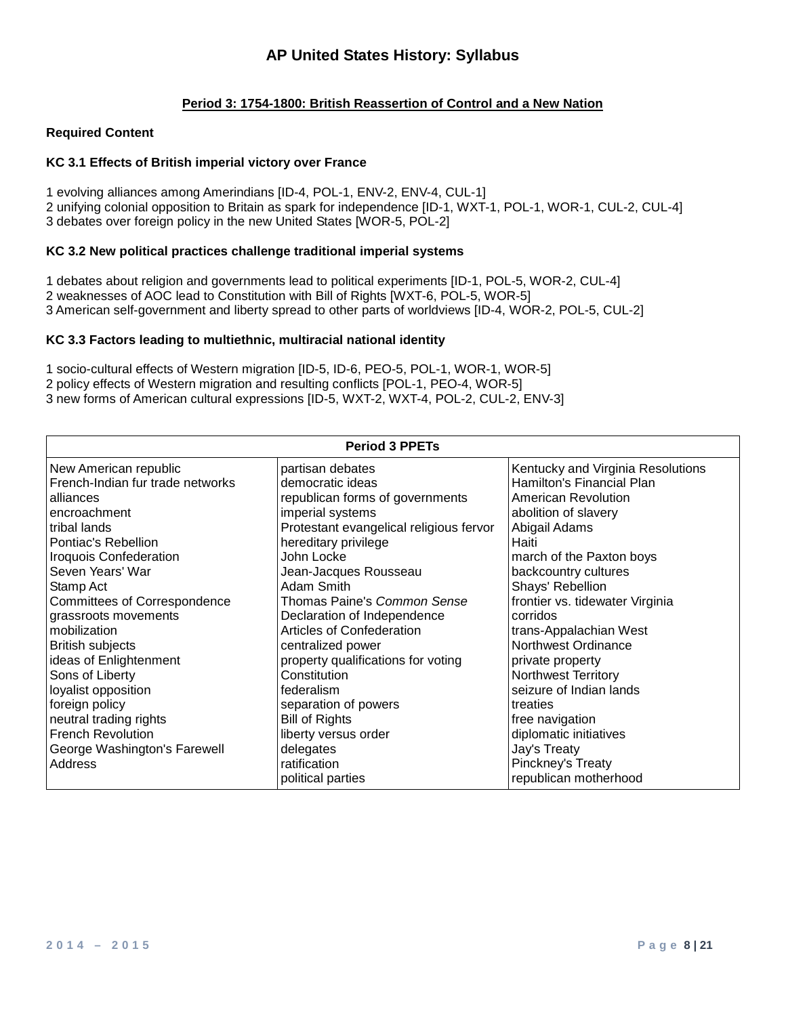## **Period 3: 1754-1800: British Reassertion of Control and a New Nation**

#### **Required Content**

### **KC 3.1 Effects of British imperial victory over France**

1 evolving alliances among Amerindians [ID-4, POL-1, ENV-2, ENV-4, CUL-1] 2 unifying colonial opposition to Britain as spark for independence [ID-1, WXT-1, POL-1, WOR-1, CUL-2, CUL-4] 3 debates over foreign policy in the new United States [WOR-5, POL-2]

### **KC 3.2 New political practices challenge traditional imperial systems**

1 debates about religion and governments lead to political experiments [ID-1, POL-5, WOR-2, CUL-4] 2 weaknesses of AOC lead to Constitution with Bill of Rights [WXT-6, POL-5, WOR-5] 3 American self-government and liberty spread to other parts of worldviews [ID-4, WOR-2, POL-5, CUL-2]

#### **KC 3.3 Factors leading to multiethnic, multiracial national identity**

1 socio-cultural effects of Western migration [ID-5, ID-6, PEO-5, POL-1, WOR-1, WOR-5] 2 policy effects of Western migration and resulting conflicts [POL-1, PEO-4, WOR-5] 3 new forms of American cultural expressions [ID-5, WXT-2, WXT-4, POL-2, CUL-2, ENV-3]

| <b>Period 3 PPETs</b>               |                                         |                                   |
|-------------------------------------|-----------------------------------------|-----------------------------------|
| New American republic               | partisan debates                        | Kentucky and Virginia Resolutions |
| French-Indian fur trade networks    | democratic ideas                        | Hamilton's Financial Plan         |
| alliances                           | republican forms of governments         | American Revolution               |
| encroachment                        | imperial systems                        | abolition of slavery              |
| tribal lands                        | Protestant evangelical religious fervor | Abigail Adams                     |
| Pontiac's Rebellion                 | hereditary privilege                    | Haiti                             |
| <b>Iroquois Confederation</b>       | John Locke                              | march of the Paxton boys          |
| Seven Years' War                    | Jean-Jacques Rousseau                   | backcountry cultures              |
| Stamp Act                           | Adam Smith                              | Shays' Rebellion                  |
| <b>Committees of Correspondence</b> | Thomas Paine's Common Sense             | frontier vs. tidewater Virginia   |
| grassroots movements                | Declaration of Independence             | corridos                          |
| mobilization                        | Articles of Confederation               | trans-Appalachian West            |
| <b>British subjects</b>             | centralized power                       | Northwest Ordinance               |
| ideas of Enlightenment              | property qualifications for voting      | private property                  |
| Sons of Liberty                     | Constitution                            | Northwest Territory               |
| loyalist opposition                 | federalism                              | seizure of Indian lands           |
| foreign policy                      | separation of powers                    | treaties                          |
| neutral trading rights              | <b>Bill of Rights</b>                   | free navigation                   |
| <b>French Revolution</b>            | liberty versus order                    | diplomatic initiatives            |
| George Washington's Farewell        | delegates                               | Jay's Treaty                      |
| Address                             | ratification                            | Pinckney's Treaty                 |
|                                     | political parties                       | republican motherhood             |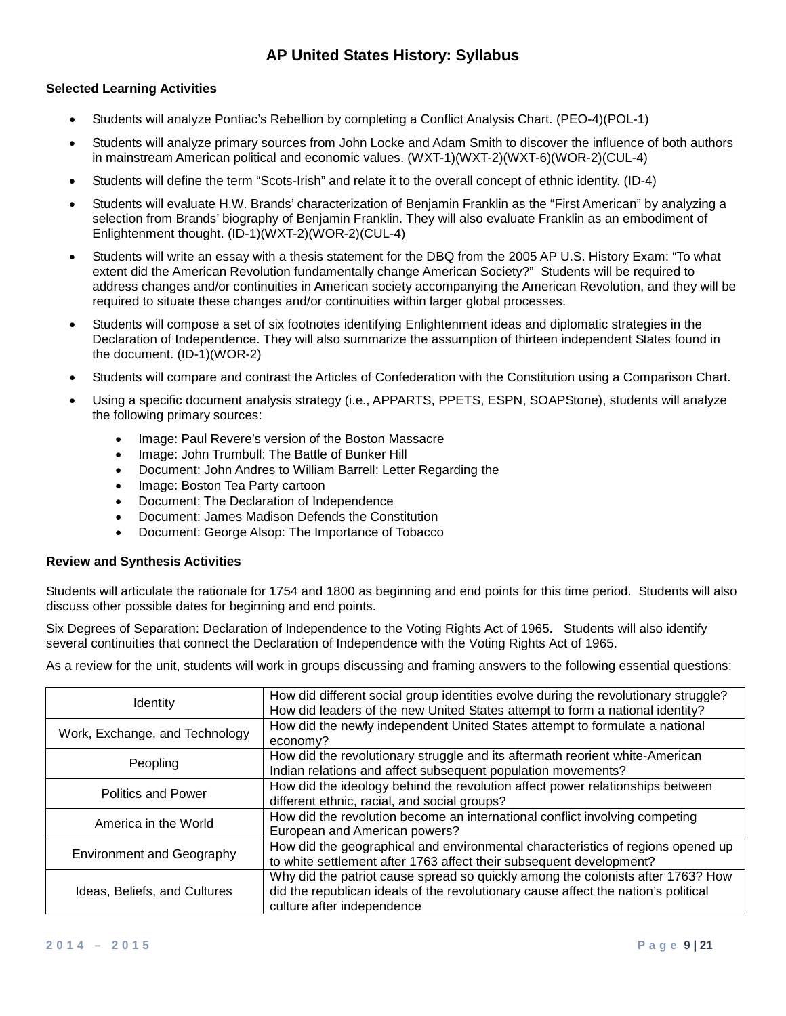### **Selected Learning Activities**

- Students will analyze Pontiac's Rebellion by completing a Conflict Analysis Chart. (PEO-4)(POL-1)
- Students will analyze primary sources from John Locke and Adam Smith to discover the influence of both authors in mainstream American political and economic values. (WXT-1)(WXT-2)(WXT-6)(WOR-2)(CUL-4)
- Students will define the term "Scots-Irish" and relate it to the overall concept of ethnic identity. (ID-4)
- Students will evaluate H.W. Brands' characterization of Benjamin Franklin as the "First American" by analyzing a selection from Brands' biography of Benjamin Franklin. They will also evaluate Franklin as an embodiment of Enlightenment thought. (ID-1)(WXT-2)(WOR-2)(CUL-4)
- Students will write an essay with a thesis statement for the DBQ from the 2005 AP U.S. History Exam: "To what extent did the American Revolution fundamentally change American Society?" Students will be required to address changes and/or continuities in American society accompanying the American Revolution, and they will be required to situate these changes and/or continuities within larger global processes.
- Students will compose a set of six footnotes identifying Enlightenment ideas and diplomatic strategies in the Declaration of Independence. They will also summarize the assumption of thirteen independent States found in the document. (ID-1)(WOR-2)
- Students will compare and contrast the Articles of Confederation with the Constitution using a Comparison Chart.
- Using a specific document analysis strategy (i.e., APPARTS, PPETS, ESPN, SOAPStone), students will analyze the following primary sources:
	- Image: Paul Revere's version of the Boston Massacre
	- Image: John Trumbull: The Battle of Bunker Hill
	- Document: John Andres to William Barrell: Letter Regarding the
	- Image: Boston Tea Party cartoon
	- Document: The Declaration of Independence
	- Document: James Madison Defends the Constitution
	- Document: George Alsop: The Importance of Tobacco

#### **Review and Synthesis Activities**

Students will articulate the rationale for 1754 and 1800 as beginning and end points for this time period. Students will also discuss other possible dates for beginning and end points.

Six Degrees of Separation: Declaration of Independence to the Voting Rights Act of 1965. Students will also identify several continuities that connect the Declaration of Independence with the Voting Rights Act of 1965.

| <b>Identity</b>                  | How did different social group identities evolve during the revolutionary struggle?<br>How did leaders of the new United States attempt to form a national identity?                                |
|----------------------------------|-----------------------------------------------------------------------------------------------------------------------------------------------------------------------------------------------------|
| Work, Exchange, and Technology   | How did the newly independent United States attempt to formulate a national<br>economy?                                                                                                             |
| Peopling                         | How did the revolutionary struggle and its aftermath reorient white-American<br>Indian relations and affect subsequent population movements?                                                        |
| <b>Politics and Power</b>        | How did the ideology behind the revolution affect power relationships between<br>different ethnic, racial, and social groups?                                                                       |
| America in the World             | How did the revolution become an international conflict involving competing<br>European and American powers?                                                                                        |
| <b>Environment and Geography</b> | How did the geographical and environmental characteristics of regions opened up<br>to white settlement after 1763 affect their subsequent development?                                              |
| Ideas, Beliefs, and Cultures     | Why did the patriot cause spread so quickly among the colonists after 1763? How<br>did the republican ideals of the revolutionary cause affect the nation's political<br>culture after independence |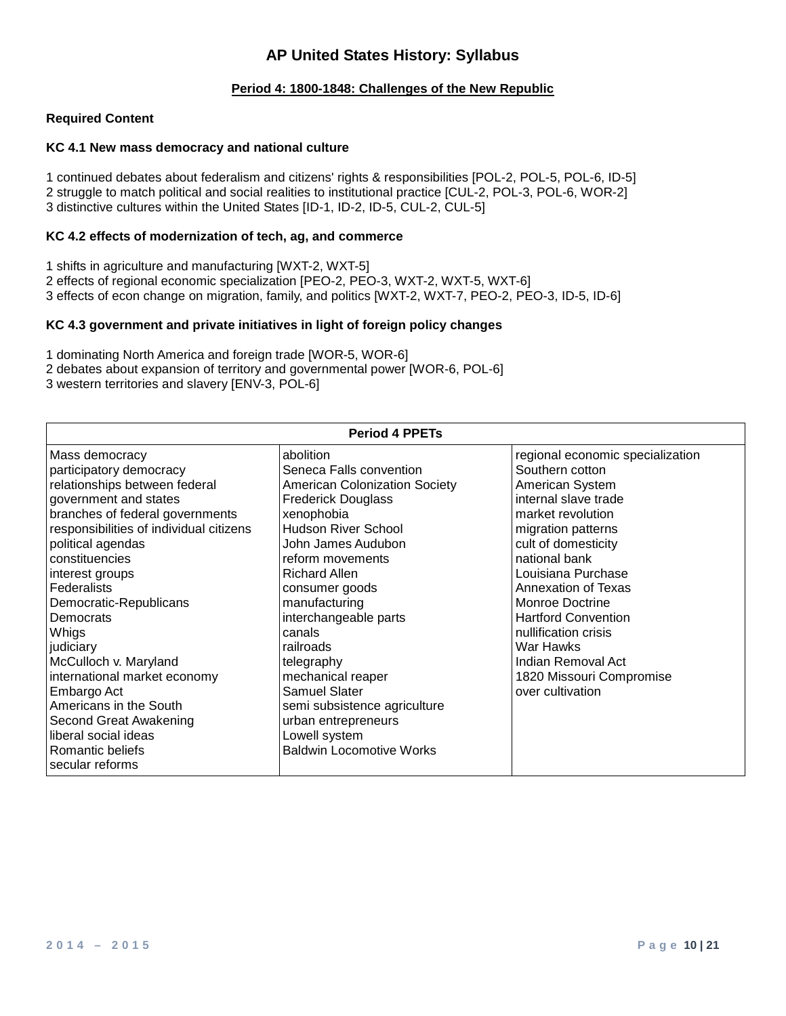### **Period 4: 1800-1848: Challenges of the New Republic**

#### **Required Content**

### **KC 4.1 New mass democracy and national culture**

1 continued debates about federalism and citizens' rights & responsibilities [POL-2, POL-5, POL-6, ID-5] 2 struggle to match political and social realities to institutional practice [CUL-2, POL-3, POL-6, WOR-2] 3 distinctive cultures within the United States [ID-1, ID-2, ID-5, CUL-2, CUL-5]

#### **KC 4.2 effects of modernization of tech, ag, and commerce**

1 shifts in agriculture and manufacturing [WXT-2, WXT-5] 2 effects of regional economic specialization [PEO-2, PEO-3, WXT-2, WXT-5, WXT-6] 3 effects of econ change on migration, family, and politics [WXT-2, WXT-7, PEO-2, PEO-3, ID-5, ID-6]

#### **KC 4.3 government and private initiatives in light of foreign policy changes**

1 dominating North America and foreign trade [WOR-5, WOR-6]

2 debates about expansion of territory and governmental power [WOR-6, POL-6]

3 western territories and slavery [ENV-3, POL-6]

| abolition<br>regional economic specialization<br>Mass democracy<br>Seneca Falls convention<br>Southern cotton<br>participatory democracy<br>relationships between federal<br><b>American Colonization Society</b><br>American System                                                                                                                                                                                                                                                                                                                                                                                                                                                                                                                                                                                                                                                                                                                                                                                                                               | <b>Period 4 PPETs</b> |                           |                      |
|--------------------------------------------------------------------------------------------------------------------------------------------------------------------------------------------------------------------------------------------------------------------------------------------------------------------------------------------------------------------------------------------------------------------------------------------------------------------------------------------------------------------------------------------------------------------------------------------------------------------------------------------------------------------------------------------------------------------------------------------------------------------------------------------------------------------------------------------------------------------------------------------------------------------------------------------------------------------------------------------------------------------------------------------------------------------|-----------------------|---------------------------|----------------------|
| branches of federal governments<br>xenophobia<br>market revolution<br>responsibilities of individual citizens<br><b>Hudson River School</b><br>migration patterns<br>John James Audubon<br>cult of domesticity<br>political agendas<br>constituencies<br>national bank<br>reform movements<br><b>Richard Allen</b><br>Louisiana Purchase<br>interest groups<br>Federalists<br>Annexation of Texas<br>consumer goods<br>manufacturing<br><b>Monroe Doctrine</b><br>Democratic-Republicans<br>interchangeable parts<br><b>Hartford Convention</b><br>Democrats<br>canals<br>nullification crisis<br>Whigs<br>War Hawks<br>railroads<br>judiciary<br>McCulloch v. Maryland<br>Indian Removal Act<br>telegraphy<br>international market economy<br>mechanical reaper<br>1820 Missouri Compromise<br><b>Samuel Slater</b><br>over cultivation<br>Embargo Act<br>Americans in the South<br>semi subsistence agriculture<br>Second Great Awakening<br>urban entrepreneurs<br>liberal social ideas<br>Lowell system<br><b>Baldwin Locomotive Works</b><br>Romantic beliefs | government and states | <b>Frederick Douglass</b> | internal slave trade |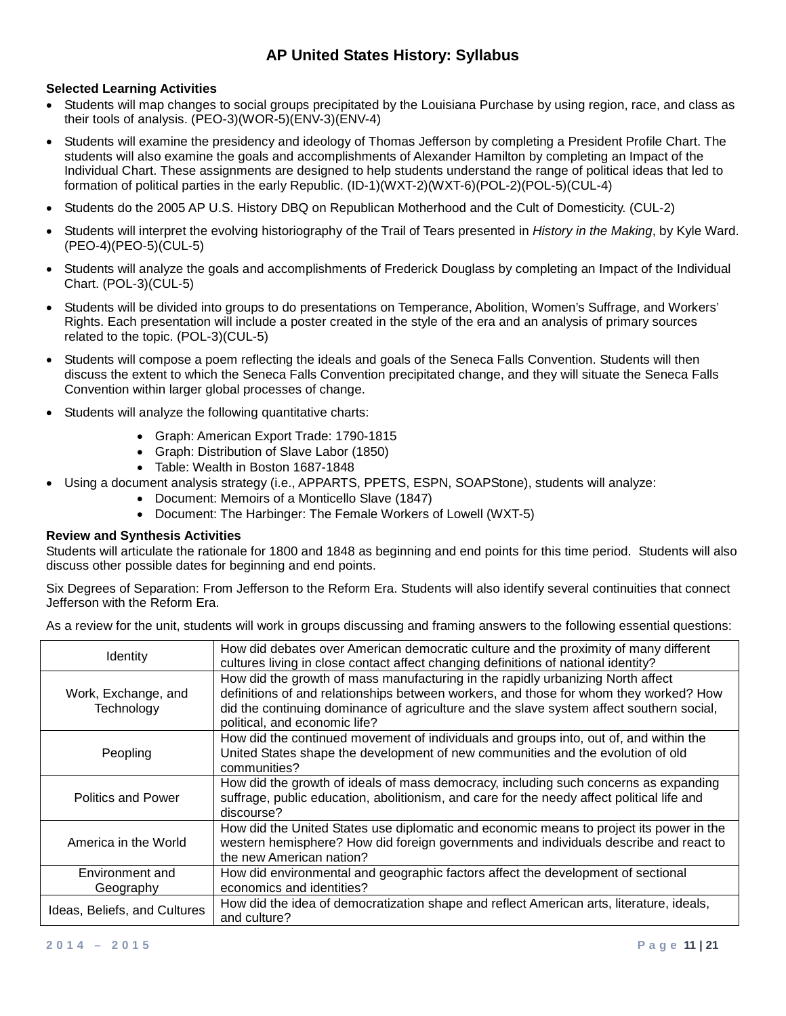### **Selected Learning Activities**

- Students will map changes to social groups precipitated by the Louisiana Purchase by using region, race, and class as their tools of analysis. (PEO-3)(WOR-5)(ENV-3)(ENV-4)
- Students will examine the presidency and ideology of Thomas Jefferson by completing a President Profile Chart. The students will also examine the goals and accomplishments of Alexander Hamilton by completing an Impact of the Individual Chart. These assignments are designed to help students understand the range of political ideas that led to formation of political parties in the early Republic. (ID-1)(WXT-2)(WXT-6)(POL-2)(POL-5)(CUL-4)
- Students do the 2005 AP U.S. History DBQ on Republican Motherhood and the Cult of Domesticity. (CUL-2)
- Students will interpret the evolving historiography of the Trail of Tears presented in *History in the Making*, by Kyle Ward. (PEO-4)(PEO-5)(CUL-5)
- Students will analyze the goals and accomplishments of Frederick Douglass by completing an Impact of the Individual Chart. (POL-3)(CUL-5)
- Students will be divided into groups to do presentations on Temperance, Abolition, Women's Suffrage, and Workers' Rights. Each presentation will include a poster created in the style of the era and an analysis of primary sources related to the topic. (POL-3)(CUL-5)
- Students will compose a poem reflecting the ideals and goals of the Seneca Falls Convention. Students will then discuss the extent to which the Seneca Falls Convention precipitated change, and they will situate the Seneca Falls Convention within larger global processes of change.
- Students will analyze the following quantitative charts:
	- Graph: American Export Trade: 1790-1815
	- Graph: Distribution of Slave Labor (1850)
	- Table: Wealth in Boston 1687-1848
	- Using a document analysis strategy (i.e., APPARTS, PPETS, ESPN, SOAPStone), students will analyze:
		- Document: Memoirs of a Monticello Slave (1847)
		- Document: The Harbinger: The Female Workers of Lowell (WXT-5)

#### **Review and Synthesis Activities**

Students will articulate the rationale for 1800 and 1848 as beginning and end points for this time period. Students will also discuss other possible dates for beginning and end points.

Six Degrees of Separation: From Jefferson to the Reform Era. Students will also identify several continuities that connect Jefferson with the Reform Era.

| As a review for the unit, students will work in groups discussing and framing answers to the following essential questions: |  |  |
|-----------------------------------------------------------------------------------------------------------------------------|--|--|
|                                                                                                                             |  |  |

| <b>Identity</b>                   | How did debates over American democratic culture and the proximity of many different<br>cultures living in close contact affect changing definitions of national identity?                                                                                                                            |
|-----------------------------------|-------------------------------------------------------------------------------------------------------------------------------------------------------------------------------------------------------------------------------------------------------------------------------------------------------|
| Work, Exchange, and<br>Technology | How did the growth of mass manufacturing in the rapidly urbanizing North affect<br>definitions of and relationships between workers, and those for whom they worked? How<br>did the continuing dominance of agriculture and the slave system affect southern social,<br>political, and economic life? |
| Peopling                          | How did the continued movement of individuals and groups into, out of, and within the<br>United States shape the development of new communities and the evolution of old<br>communities?                                                                                                              |
| <b>Politics and Power</b>         | How did the growth of ideals of mass democracy, including such concerns as expanding<br>suffrage, public education, abolitionism, and care for the needy affect political life and<br>discourse?                                                                                                      |
| America in the World              | How did the United States use diplomatic and economic means to project its power in the<br>western hemisphere? How did foreign governments and individuals describe and react to<br>the new American nation?                                                                                          |
| Environment and<br>Geography      | How did environmental and geographic factors affect the development of sectional<br>economics and identities?                                                                                                                                                                                         |
| Ideas, Beliefs, and Cultures      | How did the idea of democratization shape and reflect American arts, literature, ideals,<br>and culture?                                                                                                                                                                                              |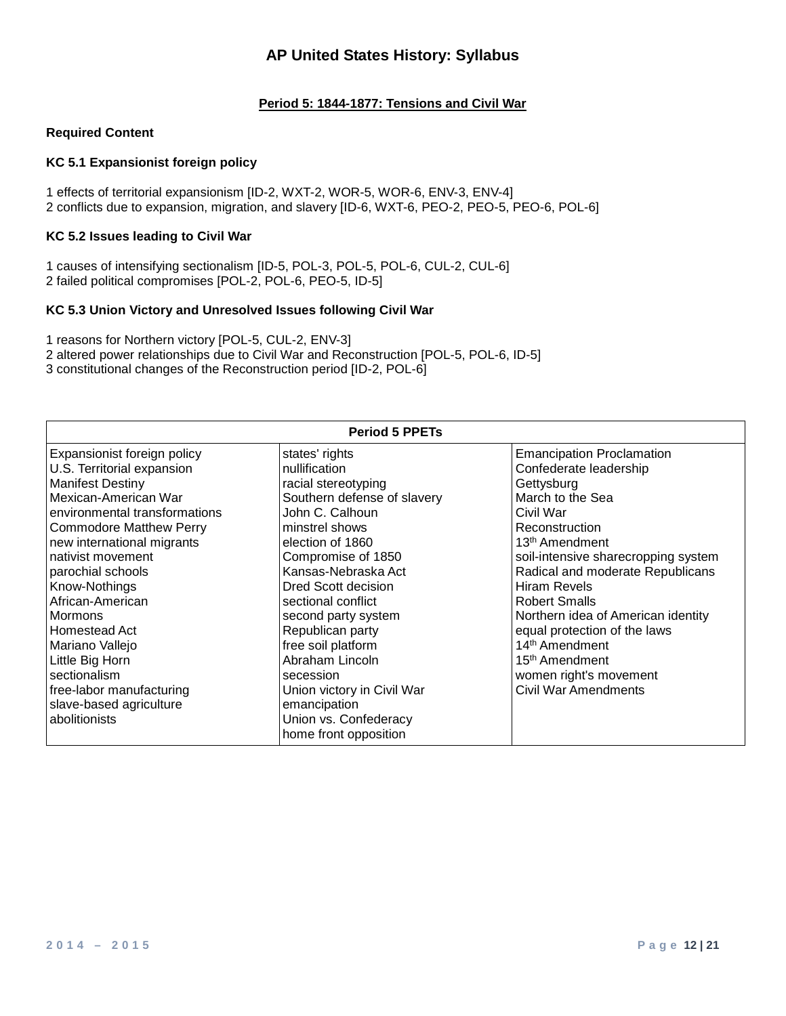### **Period 5: 1844-1877: Tensions and Civil War**

#### **Required Content**

### **KC 5.1 Expansionist foreign policy**

1 effects of territorial expansionism [ID-2, WXT-2, WOR-5, WOR-6, ENV-3, ENV-4] 2 conflicts due to expansion, migration, and slavery [ID-6, WXT-6, PEO-2, PEO-5, PEO-6, POL-6]

### **KC 5.2 Issues leading to Civil War**

1 causes of intensifying sectionalism [ID-5, POL-3, POL-5, POL-6, CUL-2, CUL-6] 2 failed political compromises [POL-2, POL-6, PEO-5, ID-5]

#### **KC 5.3 Union Victory and Unresolved Issues following Civil War**

1 reasons for Northern victory [POL-5, CUL-2, ENV-3]

2 altered power relationships due to Civil War and Reconstruction [POL-5, POL-6, ID-5]

3 constitutional changes of the Reconstruction period [ID-2, POL-6]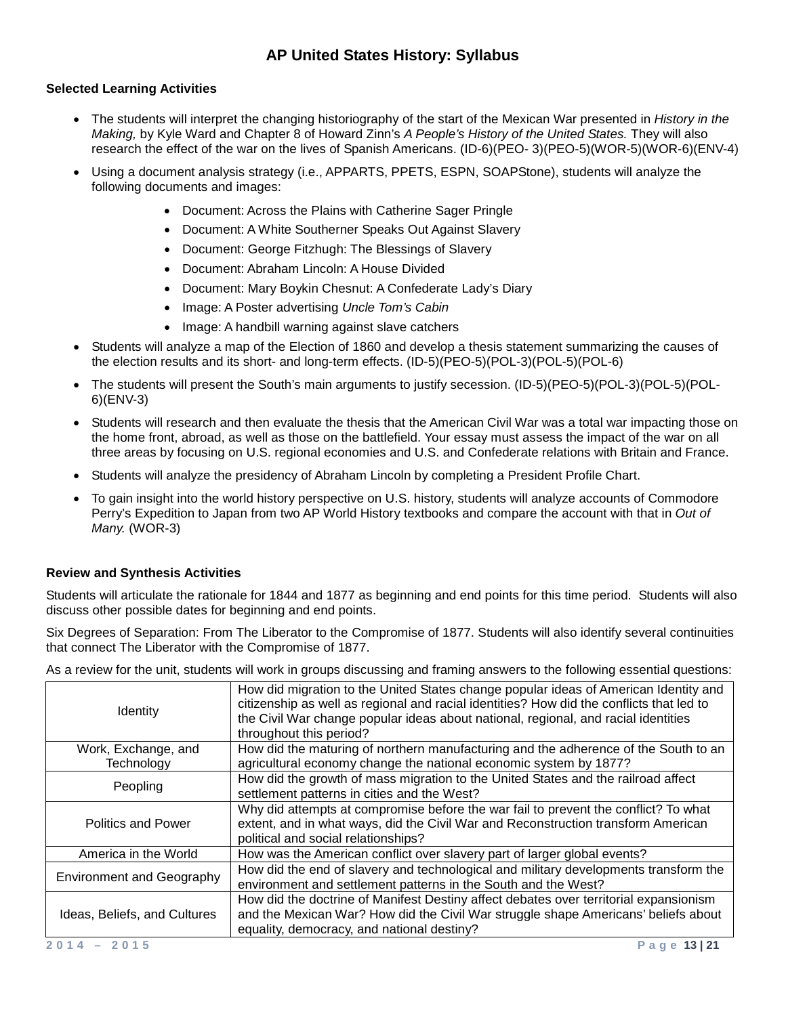### **Selected Learning Activities**

- The students will interpret the changing historiography of the start of the Mexican War presented in *History in the Making,* by Kyle Ward and Chapter 8 of Howard Zinn's *A People's History of the United States.* They will also research the effect of the war on the lives of Spanish Americans. (ID-6)(PEO- 3)(PEO-5)(WOR-5)(WOR-6)(ENV-4)
- Using a document analysis strategy (i.e., APPARTS, PPETS, ESPN, SOAPStone), students will analyze the following documents and images:
	- Document: Across the Plains with Catherine Sager Pringle
	- Document: A White Southerner Speaks Out Against Slavery
	- Document: George Fitzhugh: The Blessings of Slavery
	- Document: Abraham Lincoln: A House Divided
	- Document: Mary Boykin Chesnut: A Confederate Lady's Diary
	- Image: A Poster advertising *Uncle Tom's Cabin*
	- Image: A handbill warning against slave catchers
- Students will analyze a map of the Election of 1860 and develop a thesis statement summarizing the causes of the election results and its short- and long-term effects. (ID-5)(PEO-5)(POL-3)(POL-5)(POL-6)
- The students will present the South's main arguments to justify secession. (ID-5)(PEO-5)(POL-3)(POL-5)(POL-6)(ENV-3)
- Students will research and then evaluate the thesis that the American Civil War was a total war impacting those on the home front, abroad, as well as those on the battlefield. Your essay must assess the impact of the war on all three areas by focusing on U.S. regional economies and U.S. and Confederate relations with Britain and France.
- Students will analyze the presidency of Abraham Lincoln by completing a President Profile Chart.
- To gain insight into the world history perspective on U.S. history, students will analyze accounts of Commodore Perry's Expedition to Japan from two AP World History textbooks and compare the account with that in *Out of Many.* (WOR-3)

#### **Review and Synthesis Activities**

Students will articulate the rationale for 1844 and 1877 as beginning and end points for this time period. Students will also discuss other possible dates for beginning and end points.

Six Degrees of Separation: From The Liberator to the Compromise of 1877. Students will also identify several continuities that connect The Liberator with the Compromise of 1877.

| Identity                         | How did migration to the United States change popular ideas of American Identity and<br>citizenship as well as regional and racial identities? How did the conflicts that led to<br>the Civil War change popular ideas about national, regional, and racial identities<br>throughout this period? |
|----------------------------------|---------------------------------------------------------------------------------------------------------------------------------------------------------------------------------------------------------------------------------------------------------------------------------------------------|
| Work, Exchange, and              | How did the maturing of northern manufacturing and the adherence of the South to an                                                                                                                                                                                                               |
| Technology                       | agricultural economy change the national economic system by 1877?                                                                                                                                                                                                                                 |
| Peopling                         | How did the growth of mass migration to the United States and the railroad affect                                                                                                                                                                                                                 |
|                                  | settlement patterns in cities and the West?                                                                                                                                                                                                                                                       |
| <b>Politics and Power</b>        | Why did attempts at compromise before the war fail to prevent the conflict? To what<br>extent, and in what ways, did the Civil War and Reconstruction transform American<br>political and social relationships?                                                                                   |
| America in the World             | How was the American conflict over slavery part of larger global events?                                                                                                                                                                                                                          |
| <b>Environment and Geography</b> | How did the end of slavery and technological and military developments transform the<br>environment and settlement patterns in the South and the West?                                                                                                                                            |
| Ideas, Beliefs, and Cultures     | How did the doctrine of Manifest Destiny affect debates over territorial expansionism<br>and the Mexican War? How did the Civil War struggle shape Americans' beliefs about<br>equality, democracy, and national destiny?                                                                         |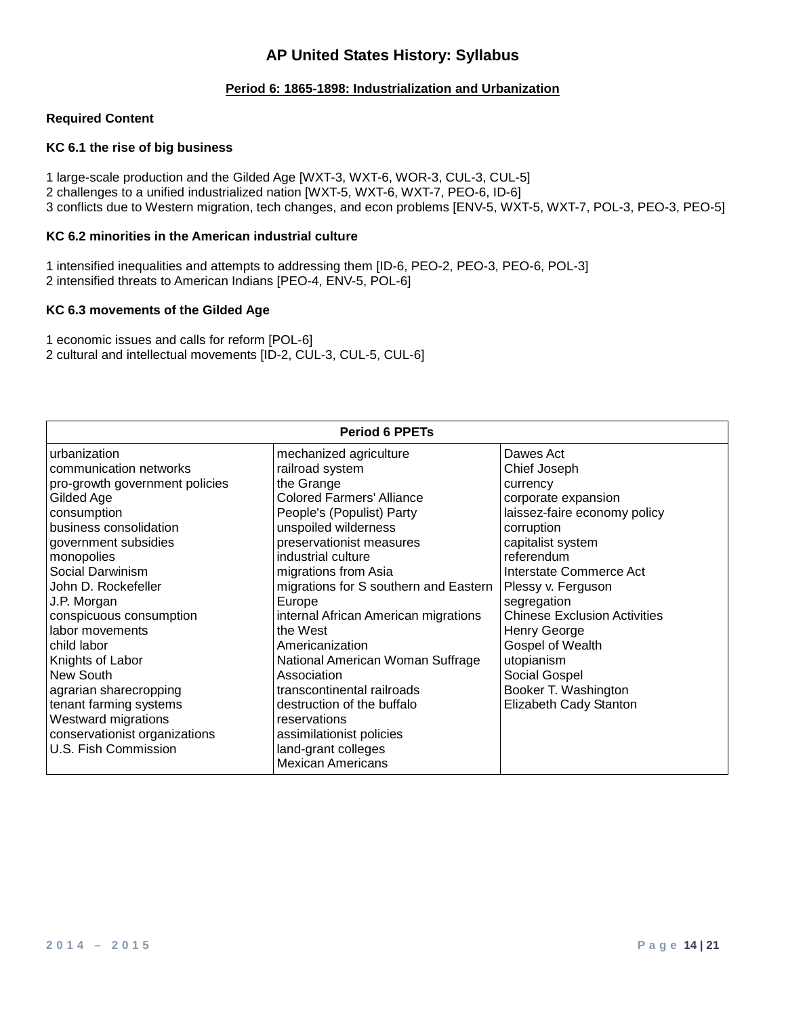### **Period 6: 1865-1898: Industrialization and Urbanization**

#### **Required Content**

#### **KC 6.1 the rise of big business**

1 large-scale production and the Gilded Age [WXT-3, WXT-6, WOR-3, CUL-3, CUL-5] 2 challenges to a unified industrialized nation [WXT-5, WXT-6, WXT-7, PEO-6, ID-6] 3 conflicts due to Western migration, tech changes, and econ problems [ENV-5, WXT-5, WXT-7, POL-3, PEO-3, PEO-5]

#### **KC 6.2 minorities in the American industrial culture**

1 intensified inequalities and attempts to addressing them [ID-6, PEO-2, PEO-3, PEO-6, POL-3] 2 intensified threats to American Indians [PEO-4, ENV-5, POL-6]

#### **KC 6.3 movements of the Gilded Age**

1 economic issues and calls for reform [POL-6] 2 cultural and intellectual movements [ID-2, CUL-3, CUL-5, CUL-6]

| <b>Period 6 PPETs</b>          |                                       |                                     |
|--------------------------------|---------------------------------------|-------------------------------------|
| urbanization                   | mechanized agriculture                | Dawes Act                           |
| communication networks         | railroad system                       | Chief Joseph                        |
| pro-growth government policies | the Grange                            | currency                            |
| Gilded Age                     | <b>Colored Farmers' Alliance</b>      | corporate expansion                 |
| consumption                    | People's (Populist) Party             | laissez-faire economy policy        |
| business consolidation         | unspoiled wilderness                  | corruption                          |
| government subsidies           | preservationist measures              | capitalist system                   |
| monopolies                     | industrial culture                    | referendum                          |
| Social Darwinism               | migrations from Asia                  | Interstate Commerce Act             |
| John D. Rockefeller            | migrations for S southern and Eastern | Plessy v. Ferguson                  |
| J.P. Morgan                    | Europe                                | segregation                         |
| conspicuous consumption        | internal African American migrations  | <b>Chinese Exclusion Activities</b> |
| labor movements                | the West                              | Henry George                        |
| child labor                    | Americanization                       | Gospel of Wealth                    |
| Knights of Labor               | National American Woman Suffrage      | utopianism                          |
| New South                      | Association                           | Social Gospel                       |
| agrarian sharecropping         | transcontinental railroads            | Booker T. Washington                |
| tenant farming systems         | destruction of the buffalo            | Elizabeth Cady Stanton              |
| Westward migrations            | reservations                          |                                     |
| conservationist organizations  | assimilationist policies              |                                     |
| U.S. Fish Commission           | land-grant colleges                   |                                     |
|                                | <b>Mexican Americans</b>              |                                     |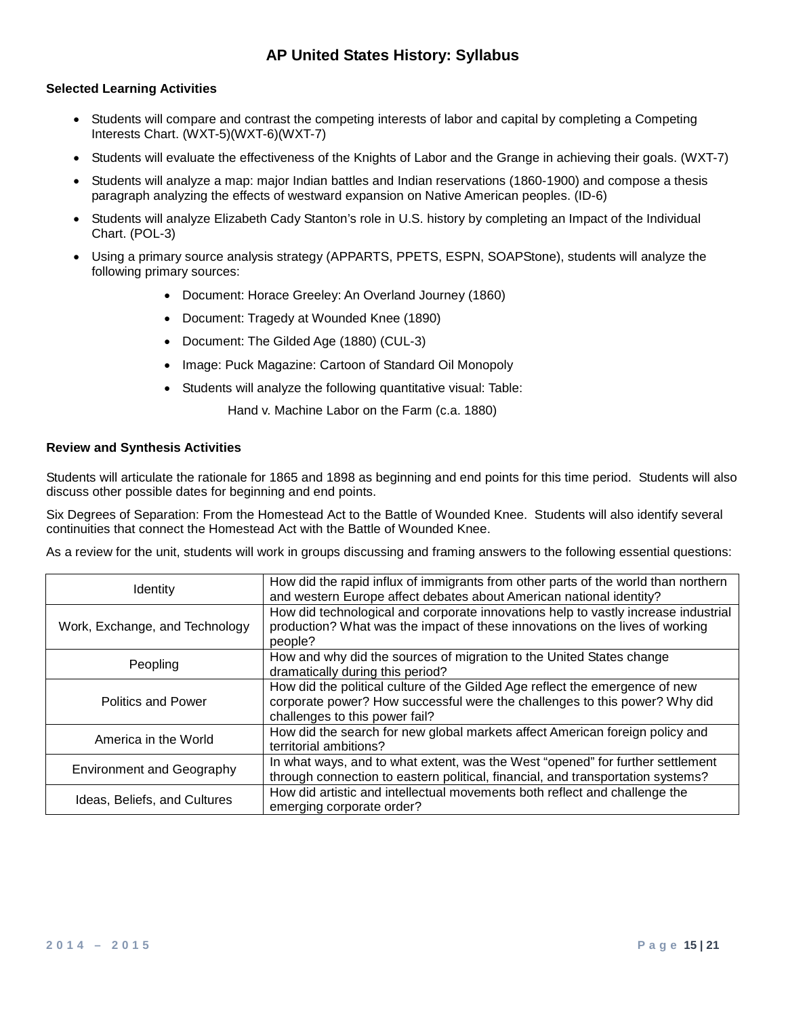### **Selected Learning Activities**

- Students will compare and contrast the competing interests of labor and capital by completing a Competing Interests Chart. (WXT-5)(WXT-6)(WXT-7)
- Students will evaluate the effectiveness of the Knights of Labor and the Grange in achieving their goals. (WXT-7)
- Students will analyze a map: major Indian battles and Indian reservations (1860-1900) and compose a thesis paragraph analyzing the effects of westward expansion on Native American peoples. (ID-6)
- Students will analyze Elizabeth Cady Stanton's role in U.S. history by completing an Impact of the Individual Chart. (POL-3)
- Using a primary source analysis strategy (APPARTS, PPETS, ESPN, SOAPStone), students will analyze the following primary sources:
	- Document: Horace Greeley: An Overland Journey (1860)
	- Document: Tragedy at Wounded Knee (1890)
	- Document: The Gilded Age (1880) (CUL-3)
	- Image: Puck Magazine: Cartoon of Standard Oil Monopoly
	- Students will analyze the following quantitative visual: Table:

Hand v. Machine Labor on the Farm (c.a. 1880)

#### **Review and Synthesis Activities**

Students will articulate the rationale for 1865 and 1898 as beginning and end points for this time period. Students will also discuss other possible dates for beginning and end points.

Six Degrees of Separation: From the Homestead Act to the Battle of Wounded Knee. Students will also identify several continuities that connect the Homestead Act with the Battle of Wounded Knee.

| <b>Identity</b>                  | How did the rapid influx of immigrants from other parts of the world than northern<br>and western Europe affect debates about American national identity?                                    |
|----------------------------------|----------------------------------------------------------------------------------------------------------------------------------------------------------------------------------------------|
| Work, Exchange, and Technology   | How did technological and corporate innovations help to vastly increase industrial<br>production? What was the impact of these innovations on the lives of working<br>people?                |
| Peopling                         | How and why did the sources of migration to the United States change<br>dramatically during this period?                                                                                     |
| <b>Politics and Power</b>        | How did the political culture of the Gilded Age reflect the emergence of new<br>corporate power? How successful were the challenges to this power? Why did<br>challenges to this power fail? |
| America in the World             | How did the search for new global markets affect American foreign policy and<br>territorial ambitions?                                                                                       |
| <b>Environment and Geography</b> | In what ways, and to what extent, was the West "opened" for further settlement<br>through connection to eastern political, financial, and transportation systems?                            |
| Ideas, Beliefs, and Cultures     | How did artistic and intellectual movements both reflect and challenge the<br>emerging corporate order?                                                                                      |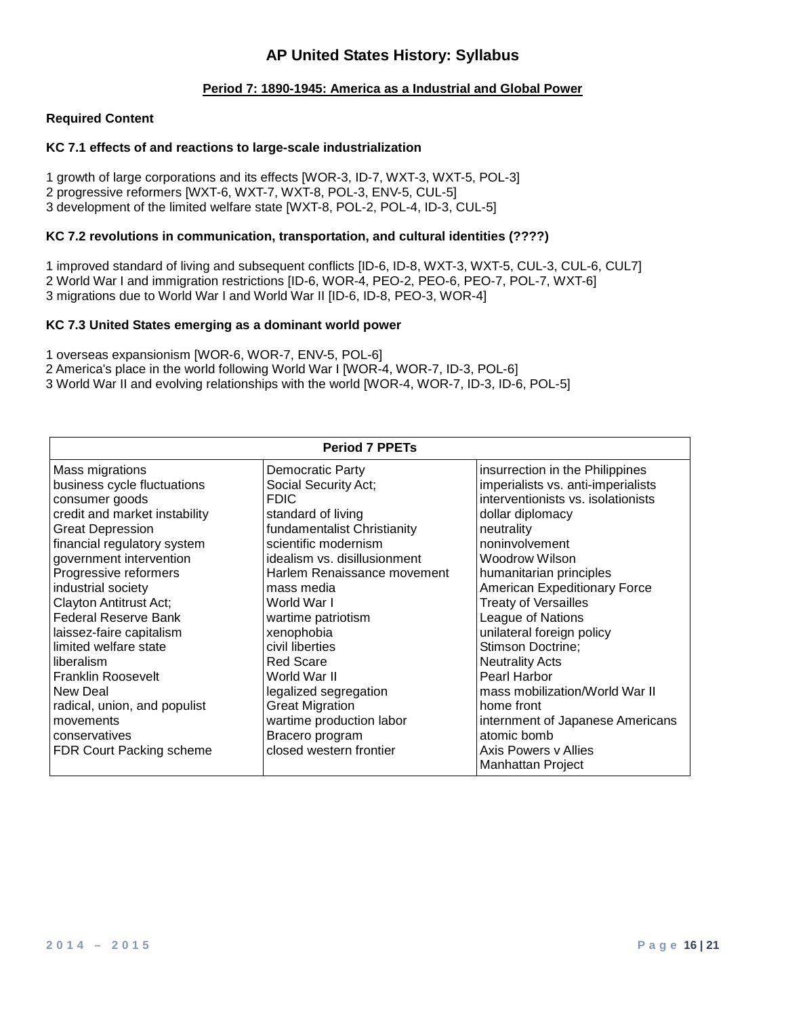### **Period 7: 1890-1945: America as a Industrial and Global Power**

#### **Required Content**

#### **KC 7.1 effects of and reactions to large-scale industrialization**

1 growth of large corporations and its effects [WOR-3, ID-7, WXT-3, WXT-5, POL-3] 2 progressive reformers [WXT-6, WXT-7, WXT-8, POL-3, ENV-5, CUL-5] 3 development of the limited welfare state [WXT-8, POL-2, POL-4, ID-3, CUL-5]

#### **KC 7.2 revolutions in communication, transportation, and cultural identities (????)**

1 improved standard of living and subsequent conflicts [ID-6, ID-8, WXT-3, WXT-5, CUL-3, CUL-6, CUL7] 2 World War I and immigration restrictions [ID-6, WOR-4, PEO-2, PEO-6, PEO-7, POL-7, WXT-6] 3 migrations due to World War I and World War II [ID-6, ID-8, PEO-3, WOR-4]

#### **KC 7.3 United States emerging as a dominant world power**

1 overseas expansionism [WOR-6, WOR-7, ENV-5, POL-6]

- 2 America's place in the world following World War I [WOR-4, WOR-7, ID-3, POL-6]
- 3 World War II and evolving relationships with the world [WOR-4, WOR-7, ID-3, ID-6, POL-5]

| <b>Period 7 PPETs</b>           |                              |                                    |
|---------------------------------|------------------------------|------------------------------------|
| Mass migrations                 | <b>Democratic Party</b>      | insurrection in the Philippines    |
| business cycle fluctuations     | Social Security Act;         | imperialists vs. anti-imperialists |
| consumer goods                  | <b>FDIC</b>                  | interventionists vs. isolationists |
| credit and market instability   | standard of living           | dollar diplomacy                   |
| <b>Great Depression</b>         | fundamentalist Christianity  | neutrality                         |
| financial regulatory system     | scientific modernism         | noninvolvement                     |
| government intervention         | idealism vs. disillusionment | <b>Woodrow Wilson</b>              |
| Progressive reformers           | Harlem Renaissance movement  | humanitarian principles            |
| industrial society              | mass media                   | American Expeditionary Force       |
| Clayton Antitrust Act;          | World War I                  | <b>Treaty of Versailles</b>        |
| <b>Federal Reserve Bank</b>     | wartime patriotism           | League of Nations                  |
| laissez-faire capitalism        | xenophobia                   | unilateral foreign policy          |
| limited welfare state           | civil liberties              | Stimson Doctrine;                  |
| liberalism                      | <b>Red Scare</b>             | <b>Neutrality Acts</b>             |
| <b>Franklin Roosevelt</b>       | World War II                 | Pearl Harbor                       |
| New Deal                        | legalized segregation        | mass mobilization/World War II     |
| radical, union, and populist    | <b>Great Migration</b>       | home front                         |
| movements                       | wartime production labor     | internment of Japanese Americans   |
| conservatives                   | Bracero program              | atomic bomb                        |
| <b>FDR Court Packing scheme</b> | closed western frontier      | Axis Powers y Allies               |
|                                 |                              | Manhattan Project                  |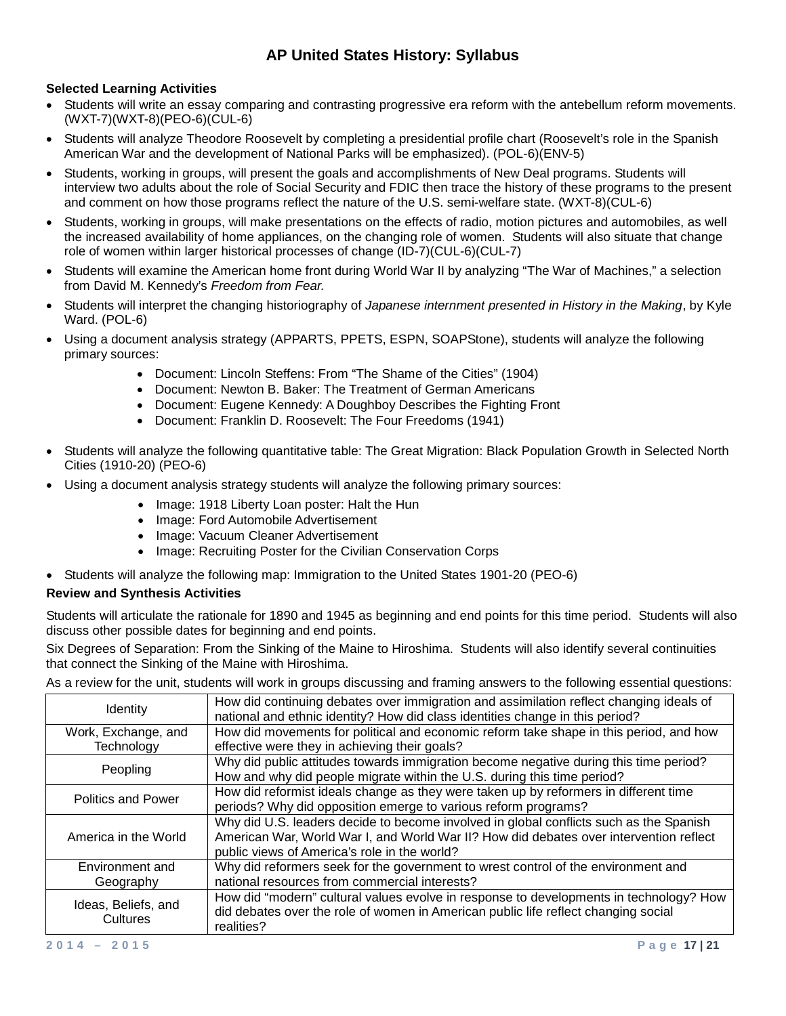## **Selected Learning Activities**

- Students will write an essay comparing and contrasting progressive era reform with the antebellum reform movements. (WXT-7)(WXT-8)(PEO-6)(CUL-6)
- Students will analyze Theodore Roosevelt by completing a presidential profile chart (Roosevelt's role in the Spanish American War and the development of National Parks will be emphasized). (POL-6)(ENV-5)
- Students, working in groups, will present the goals and accomplishments of New Deal programs. Students will interview two adults about the role of Social Security and FDIC then trace the history of these programs to the present and comment on how those programs reflect the nature of the U.S. semi-welfare state. (WXT-8)(CUL-6)
- Students, working in groups, will make presentations on the effects of radio, motion pictures and automobiles, as well the increased availability of home appliances, on the changing role of women. Students will also situate that change role of women within larger historical processes of change (ID-7)(CUL-6)(CUL-7)
- Students will examine the American home front during World War II by analyzing "The War of Machines," a selection from David M. Kennedy's *Freedom from Fear.*
- Students will interpret the changing historiography of *Japanese internment presented in History in the Making*, by Kyle Ward. (POL-6)
- Using a document analysis strategy (APPARTS, PPETS, ESPN, SOAPStone), students will analyze the following primary sources:
	- Document: Lincoln Steffens: From "The Shame of the Cities" (1904)
	- Document: Newton B. Baker: The Treatment of German Americans
	- Document: Eugene Kennedy: A Doughboy Describes the Fighting Front
	- Document: Franklin D. Roosevelt: The Four Freedoms (1941)
- Students will analyze the following quantitative table: The Great Migration: Black Population Growth in Selected North Cities (1910-20) (PEO-6)
- Using a document analysis strategy students will analyze the following primary sources:
	- Image: 1918 Liberty Loan poster: Halt the Hun
	- Image: Ford Automobile Advertisement
	- Image: Vacuum Cleaner Advertisement
	- Image: Recruiting Poster for the Civilian Conservation Corps
- Students will analyze the following map: Immigration to the United States 1901-20 (PEO-6)

#### **Review and Synthesis Activities**

Students will articulate the rationale for 1890 and 1945 as beginning and end points for this time period. Students will also discuss other possible dates for beginning and end points.

Six Degrees of Separation: From the Sinking of the Maine to Hiroshima. Students will also identify several continuities that connect the Sinking of the Maine with Hiroshima.

| Ideas, Beliefs, and<br>Cultures   | How did "modern" cultural values evolve in response to developments in technology? How<br>did debates over the role of women in American public life reflect changing social<br>realities?                                       |
|-----------------------------------|----------------------------------------------------------------------------------------------------------------------------------------------------------------------------------------------------------------------------------|
| Environment and<br>Geography      | Why did reformers seek for the government to wrest control of the environment and<br>national resources from commercial interests?                                                                                               |
| America in the World              | Why did U.S. leaders decide to become involved in global conflicts such as the Spanish<br>American War, World War I, and World War II? How did debates over intervention reflect<br>public views of America's role in the world? |
| <b>Politics and Power</b>         | How did reformist ideals change as they were taken up by reformers in different time<br>periods? Why did opposition emerge to various reform programs?                                                                           |
| Peopling                          | Why did public attitudes towards immigration become negative during this time period?<br>How and why did people migrate within the U.S. during this time period?                                                                 |
| Work, Exchange, and<br>Technology | How did movements for political and economic reform take shape in this period, and how<br>effective were they in achieving their goals?                                                                                          |
| <b>Identity</b>                   | How did continuing debates over immigration and assimilation reflect changing ideals of<br>national and ethnic identity? How did class identities change in this period?                                                         |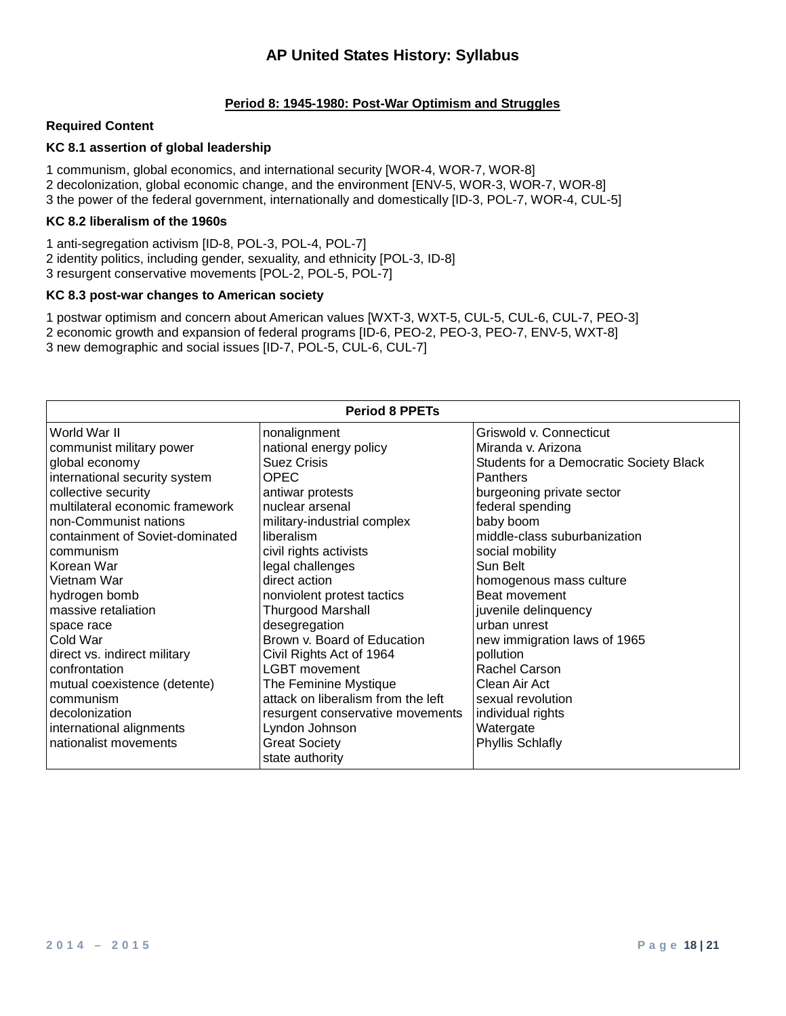### **Period 8: 1945-1980: Post-War Optimism and Struggles**

#### **Required Content**

### **KC 8.1 assertion of global leadership**

1 communism, global economics, and international security [WOR-4, WOR-7, WOR-8] 2 decolonization, global economic change, and the environment [ENV-5, WOR-3, WOR-7, WOR-8] 3 the power of the federal government, internationally and domestically [ID-3, POL-7, WOR-4, CUL-5]

#### **KC 8.2 liberalism of the 1960s**

1 anti-segregation activism [ID-8, POL-3, POL-4, POL-7] 2 identity politics, including gender, sexuality, and ethnicity [POL-3, ID-8] 3 resurgent conservative movements [POL-2, POL-5, POL-7]

### **KC 8.3 post-war changes to American society**

1 postwar optimism and concern about American values [WXT-3, WXT-5, CUL-5, CUL-6, CUL-7, PEO-3] 2 economic growth and expansion of federal programs [ID-6, PEO-2, PEO-3, PEO-7, ENV-5, WXT-8] 3 new demographic and social issues [ID-7, POL-5, CUL-6, CUL-7]

| <b>Period 8 PPETs</b>           |                                         |                                         |
|---------------------------------|-----------------------------------------|-----------------------------------------|
| World War II                    | nonalignment                            | Griswold v. Connecticut                 |
| communist military power        | national energy policy                  | Miranda v. Arizona                      |
| global economy                  | <b>Suez Crisis</b>                      | Students for a Democratic Society Black |
| international security system   | <b>OPEC</b>                             | Panthers                                |
| collective security             | antiwar protests                        | burgeoning private sector               |
| multilateral economic framework | nuclear arsenal                         | federal spending                        |
| non-Communist nations           | military-industrial complex             | baby boom                               |
| containment of Soviet-dominated | liberalism                              | middle-class suburbanization            |
| communism                       | civil rights activists                  | social mobility                         |
| Korean War                      | legal challenges                        | Sun Belt                                |
| Vietnam War                     | direct action                           | homogenous mass culture                 |
| hydrogen bomb                   | nonviolent protest tactics              | Beat movement                           |
| massive retaliation             | <b>Thurgood Marshall</b>                | juvenile delinquency                    |
| space race                      | desegregation                           | urban unrest                            |
| Cold War                        | Brown v. Board of Education             | new immigration laws of 1965            |
| direct vs. indirect military    | Civil Rights Act of 1964                | pollution                               |
| confrontation                   | <b>LGBT</b> movement                    | Rachel Carson                           |
| mutual coexistence (detente)    | The Feminine Mystique                   | Clean Air Act                           |
| communism                       | attack on liberalism from the left      | sexual revolution                       |
| decolonization                  | resurgent conservative movements        | individual rights                       |
| international alignments        | Lyndon Johnson                          | Watergate                               |
| nationalist movements           | <b>Great Society</b><br>state authority | <b>Phyllis Schlafly</b>                 |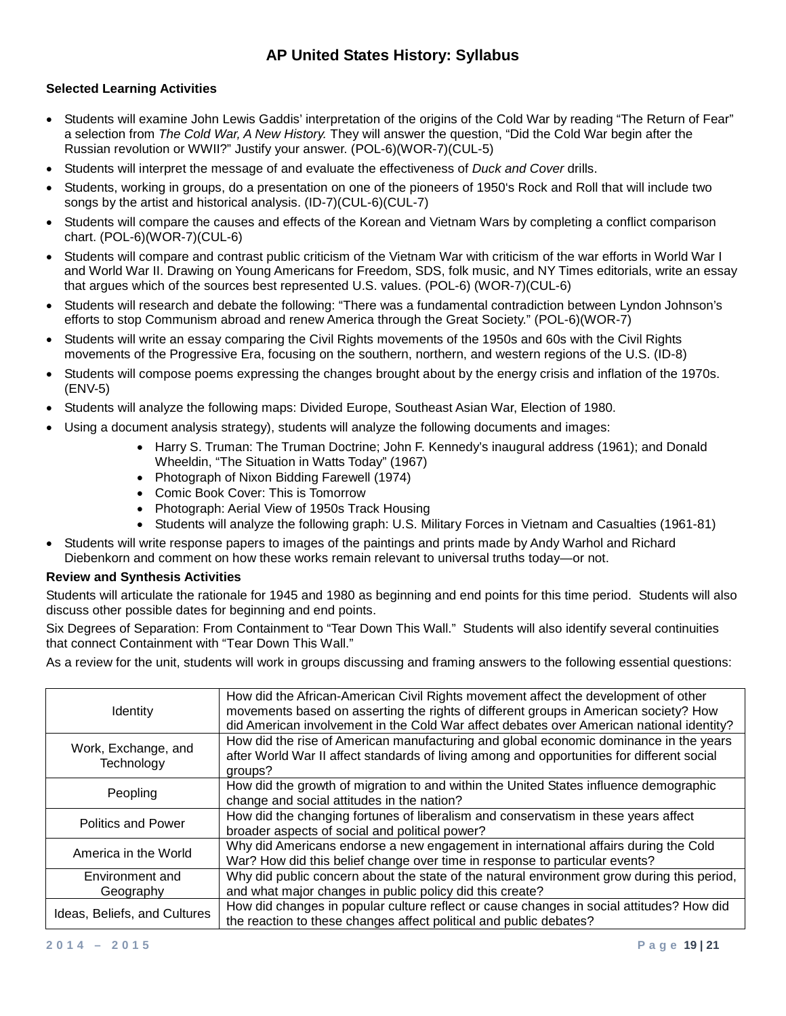## **Selected Learning Activities**

- Students will examine John Lewis Gaddis' interpretation of the origins of the Cold War by reading "The Return of Fear" a selection from *The Cold War, A New History.* They will answer the question, "Did the Cold War begin after the Russian revolution or WWII?" Justify your answer. (POL-6)(WOR-7)(CUL-5)
- Students will interpret the message of and evaluate the effectiveness of *Duck and Cover* drills.
- Students, working in groups, do a presentation on one of the pioneers of 1950's Rock and Roll that will include two songs by the artist and historical analysis. (ID-7)(CUL-6)(CUL-7)
- Students will compare the causes and effects of the Korean and Vietnam Wars by completing a conflict comparison chart. (POL-6)(WOR-7)(CUL-6)
- Students will compare and contrast public criticism of the Vietnam War with criticism of the war efforts in World War I and World War II. Drawing on Young Americans for Freedom, SDS, folk music, and NY Times editorials, write an essay that argues which of the sources best represented U.S. values. (POL-6) (WOR-7)(CUL-6)
- Students will research and debate the following: "There was a fundamental contradiction between Lyndon Johnson's efforts to stop Communism abroad and renew America through the Great Society." (POL-6)(WOR-7)
- Students will write an essay comparing the Civil Rights movements of the 1950s and 60s with the Civil Rights movements of the Progressive Era, focusing on the southern, northern, and western regions of the U.S. (ID-8)
- Students will compose poems expressing the changes brought about by the energy crisis and inflation of the 1970s. (ENV-5)
- Students will analyze the following maps: Divided Europe, Southeast Asian War, Election of 1980.
- Using a document analysis strategy), students will analyze the following documents and images:
	- Harry S. Truman: The Truman Doctrine; John F. Kennedy's inaugural address (1961); and Donald Wheeldin, "The Situation in Watts Today" (1967)
	- Photograph of Nixon Bidding Farewell (1974)
	- Comic Book Cover: This is Tomorrow
	- Photograph: Aerial View of 1950s Track Housing
	- Students will analyze the following graph: U.S. Military Forces in Vietnam and Casualties (1961-81)
- Students will write response papers to images of the paintings and prints made by Andy Warhol and Richard Diebenkorn and comment on how these works remain relevant to universal truths today—or not.

#### **Review and Synthesis Activities**

Students will articulate the rationale for 1945 and 1980 as beginning and end points for this time period. Students will also discuss other possible dates for beginning and end points.

Six Degrees of Separation: From Containment to "Tear Down This Wall." Students will also identify several continuities that connect Containment with "Tear Down This Wall."

| <b>Identity</b>                   | How did the African-American Civil Rights movement affect the development of other<br>movements based on asserting the rights of different groups in American society? How<br>did American involvement in the Cold War affect debates over American national identity? |
|-----------------------------------|------------------------------------------------------------------------------------------------------------------------------------------------------------------------------------------------------------------------------------------------------------------------|
| Work, Exchange, and<br>Technology | How did the rise of American manufacturing and global economic dominance in the years<br>after World War II affect standards of living among and opportunities for different social<br>groups?                                                                         |
| Peopling                          | How did the growth of migration to and within the United States influence demographic<br>change and social attitudes in the nation?                                                                                                                                    |
| <b>Politics and Power</b>         | How did the changing fortunes of liberalism and conservatism in these years affect<br>broader aspects of social and political power?                                                                                                                                   |
| America in the World              | Why did Americans endorse a new engagement in international affairs during the Cold<br>War? How did this belief change over time in response to particular events?                                                                                                     |
| Environment and<br>Geography      | Why did public concern about the state of the natural environment grow during this period,<br>and what major changes in public policy did this create?                                                                                                                 |
| Ideas, Beliefs, and Cultures      | How did changes in popular culture reflect or cause changes in social attitudes? How did<br>the reaction to these changes affect political and public debates?                                                                                                         |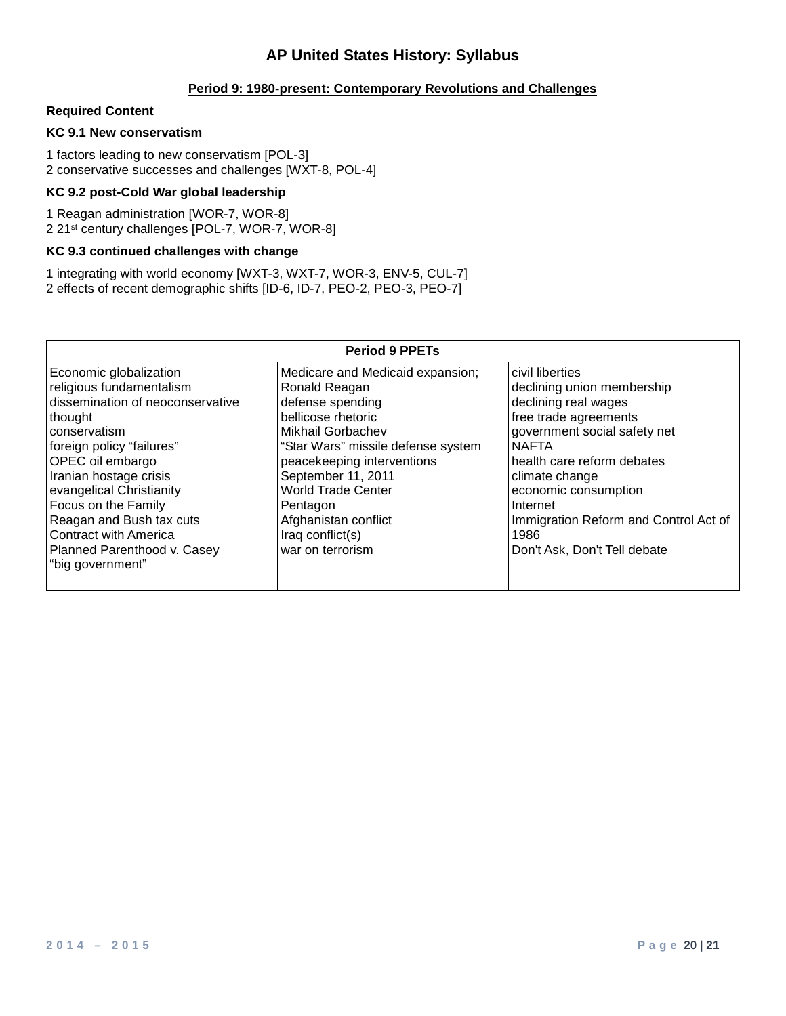## **Period 9: 1980-present: Contemporary Revolutions and Challenges**

### **Required Content**

### **KC 9.1 New conservatism**

1 factors leading to new conservatism [POL-3] 2 conservative successes and challenges [WXT-8, POL-4]

### **KC 9.2 post-Cold War global leadership**

1 Reagan administration [WOR-7, WOR-8] 2 21st century challenges [POL-7, WOR-7, WOR-8]

### **KC 9.3 continued challenges with change**

1 integrating with world economy [WXT-3, WXT-7, WOR-3, ENV-5, CUL-7] 2 effects of recent demographic shifts [ID-6, ID-7, PEO-2, PEO-3, PEO-7]

| <b>Period 9 PPETs</b>                                                                                                                                                                                                                                                                                                                                          |                                                                                                                                                                                                                                                                                                                     |                                                                                                                                                                                                                                                                                                                     |
|----------------------------------------------------------------------------------------------------------------------------------------------------------------------------------------------------------------------------------------------------------------------------------------------------------------------------------------------------------------|---------------------------------------------------------------------------------------------------------------------------------------------------------------------------------------------------------------------------------------------------------------------------------------------------------------------|---------------------------------------------------------------------------------------------------------------------------------------------------------------------------------------------------------------------------------------------------------------------------------------------------------------------|
| Economic globalization<br>religious fundamentalism<br>dissemination of neoconservative<br>thought<br>conservatism<br>foreign policy "failures"<br>OPEC oil embargo<br>Iranian hostage crisis<br>evangelical Christianity<br>Focus on the Family<br>Reagan and Bush tax cuts<br><b>Contract with America</b><br>Planned Parenthood v. Casey<br>"big government" | Medicare and Medicaid expansion;<br>Ronald Reagan<br>defense spending<br>bellicose rhetoric<br>Mikhail Gorbachev<br>"Star Wars" missile defense system<br>peacekeeping interventions<br>September 11, 2011<br><b>World Trade Center</b><br>Pentagon<br>Afghanistan conflict<br>Iraq conflict(s)<br>war on terrorism | civil liberties<br>declining union membership<br>declining real wages<br>free trade agreements<br>government social safety net<br><b>NAFTA</b><br>health care reform debates<br>climate change<br>economic consumption<br>Internet<br>Immigration Reform and Control Act of<br>1986<br>Don't Ask, Don't Tell debate |